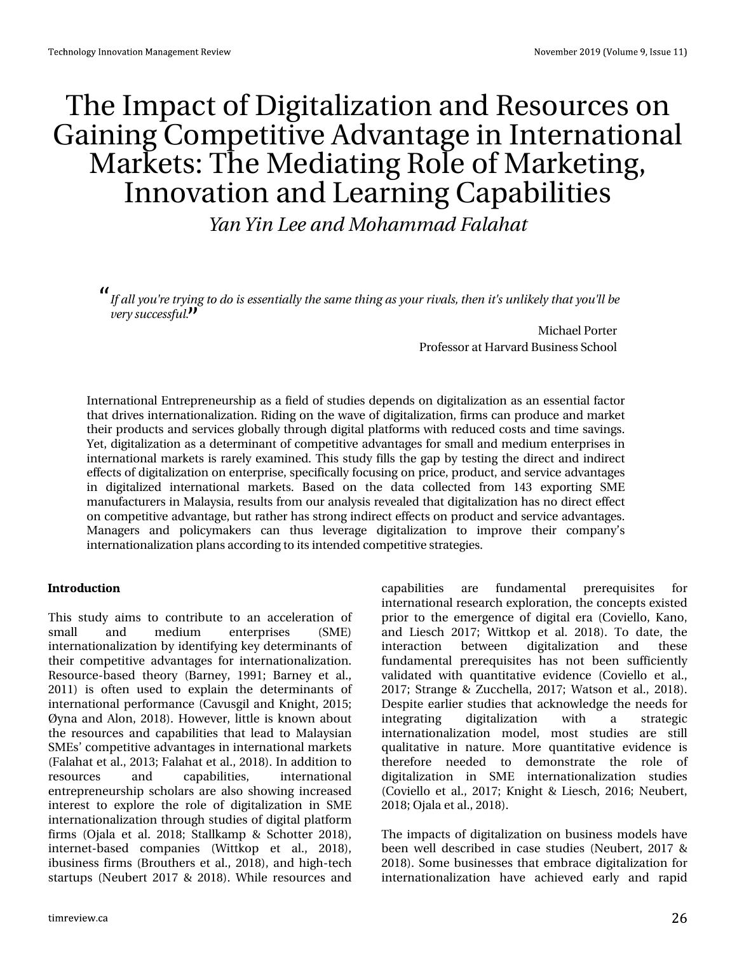# With Lp sdf wr i Glj Ivdd} dwlr q dqg Uhvr xuf hv r q J diqlqj Fr p shwwyh Dgydqwdj h lq Lqwhuqdwr qdo P dunhw=Wkh P hgldwqj Ur oh r i P dunhwqj / Lgqr ydwr q dqg Chduqlqj Fdsdeldwhv

Zbo Zjo Mf boe N pi bn n be Gorbi bu

Jgbmzpvˆsf uszjohup ep jt fttfoujbmzui f tbn f ui johbt zpvs sjwbmt-ui fo juˆt vomjl f mzui buzpvˆmcf wf sz tvddfttgvm/

> P lf kdhoSr uwhu Sur ihvvr udwKduydug Exvlqhvv Vf kr r o

Lqwhuqdwlr qdoHqwuhsuhqhxuvkls dv d ilhog r i vwxglhv ghshqgv r q glj lwdol}dwlr q dv dq hvvhqwldoidf wr u wkdwgulyhv lqwhuqdwlr qdol}dwlr q1Ulglqj r q wkh z dyh r i glj lwdol}dwlr q/ ilup v fdq sur gxfh dqg p dunhw wkhlusur gxf wv dqg vhuylfhv j or edoo| wkur xj k glj lwdosodwir up v z lwk uhgxfhg f r vwv dqg wlp h vdylqj v1 \ hw/ glj lwdd}dwlr q dv d ghwhup lqdqwr i f r p shwlwlyh dgydqwdj hv ir u vp doodqg p hglxp hqwhusulvhv lq lqwhuqdwlr qdop dunhwv lv uduho| h{dp lqhg1Wklv vwxg| iloov wkh j ds e| whvwlqj wkh gluhf wdqg lqgluhf w hiihf wv r i glj lwdol}dwlr q r q hqwhusulvh/ vshflilfdoo| ir f xvlgj r q sulfh/ sur gxfw/ dqg vhuylfh dgydqwdjhv lq gljlwdol}hg lqwhuqdwlr qdo p dunhwv1 Edvhg rq wkh gdwd froohfwhg iurp 476 h{sruwlqj VP H p dqxidf wxuhuv lq P dod| vld/ uhvxowv iur p r xudqdd vlv uhyhdohq wkdwglj lwdol}dwlr q kdv qr gluhf whiihf w r q f r p shwwlyh dgydqwdj h/exwudwkhu kdv wur qj lqgluhf whiihf wr q sur gxf wdqg vhuylfh dgydqwdj hv1 P dqdjhuv dqq sr olf| p dnhuv fdq wkxv ohyhudjh gljlwdol}dwlr q wr lp suryh wkhlu frp sdq| •v lqwhuqdwir qdol}dwir q sodqv dffruglqj wr lwv lqwhqghg frp shwwlyhvwudwhj lhv1

#### 1642(7'621

Wkly ww.g| dlp v wr frqwulexwh wr dq dff hohudwlrg ri vp doo dqg p hglxp hqwhusulvhv +VP H, lqwhuqdwlr qdol}dwlr q e| lghqwli| lqj nh| ghwhup lqdqwv r i wkhlu f r p shwlwyh dgydqwd ihv ir u lqwhuqdwlr qdd dw'r q 1 Uhvr xuf h0edvhg wkhr u| +Eduqh| / 4<<4> Eduqh| hw dol 5344, lv riwhq xvhg wr h{sodlq wkh ghwhup lqdqwr i lqwhuqdwlr qdoshuir up dqf h +Fdyxvj lodqg Nqlj kw/ 5348>  $\hat{U}$ | qd dqg Dor q/ 534; ,1Kr z hyhu/ olwoh lv nqr z q der xw wkh uhvr xuf hv dqg fdsdeld whv wkdwohdg wr P dod| vldq VP Hv• f r p shwlwyh dgydqwdi hv lq lqwhuqdwlr qdop dunhw +I dodkdwhwdo1/ 5346>I dodkdwhwdo1/ 534; ,1Lq dgglwlr q wr uhvr xuf hv dqg f dsdelolwlhv/ lqwhuqdwlr qdo hqwuhsuhqhxuvkls vf kr oduv duh dovr vkr z lqj lqf uhdvhg lqwhuhww wr h{soruh wkh urdh ri gljlwdd}dwlrg lg VP H lqwhuqdwlr qdol}dwlr q wkur xj k vwxglhv r i glj lwdosodwir up ilup v  $+R$ ndod hwdo1 534; > Vvoloondp s ) Vf kr whu 534; , / lqwhughw0edvhg frp sdqlhv  $+Z$  lwwnrs hw dol/ 534; ,/ lexvlghw ilup v +Eur xwkhuv hwdol 534; , dqg klj k0whf k vwduwxsv +Qhxehuw534: ) 534; ,1 Z kloh uhvr xuf hv dqg

f dsdelolwlhv duh ixqgdp hqwdo suhuht xlvlwhv ir u lqwhuqdwlr qdouhvhduf k h{ sor udwlr q/ wkh f r qf hswv h{lvwhg sulr u wr wkh hp huj hqfh ri glj lwdohud +Frylhoor/Ndqr/ dqg  $Chwf k$  534:  $> Z$  lwnn s hw doi 534; , 1 Wr gdwh/ wkh lqwhudfwlr q ehwz hhq glj lwdol}dwlr q dqg wkhvh ixqgdp hqwdo suhuht xlvlwhv kdv qrwehhq vxiilf lhqwo yddgdwhg z lwk t xdqwlwdwlyh hylghqf h +Fr ylhoor hw dol 534: > Ww.dqih ) ] xff khood/ 534: > Z dwr q hwdol/ 534; , 1 Ghvslwh hduolhu vwxglhv wkdwdf nqrz ohgi h wkh qhhqv ir u lqwhj udwlqj glj lwdol}dwlr q z lwk d vwudwhj lf lqwhuqdwlr qdol}dwlr q p r gho/ p r vw vwxglhv duh vwloo t xdolwdwlyh Iq qdwxuh1 P r uh t xdqwlwdwlyh hylghqfh Iv wkhuhiruh qhhghg wr ghp r qwudwh wkh ur oh ri glj lwdol}dwlr q lq VP H lqwhuqdwlr qdol}dwlr q vwxglhv +Fr ylhoor hwdo1/ 534: >Nqlj kw) Olhvf k/ 5349>Qhxehuw/ 534; >Rndod hwdol 534; ,1

With Ip sdf w r i glj lwdd}dwlr q r q exvlqhw p r ghov kdyh ehhq z hooghvf ulehg lq f dvh vwxglhv +Qhxehuw/ 534: ) 534; , 1 Vr p h exvlghwh v wkdwhp eudf h glj lwdd dw r g ir u lqwhuqdwlr qdol}dwlr q kdyh df klhyhg hduo| dqg udslg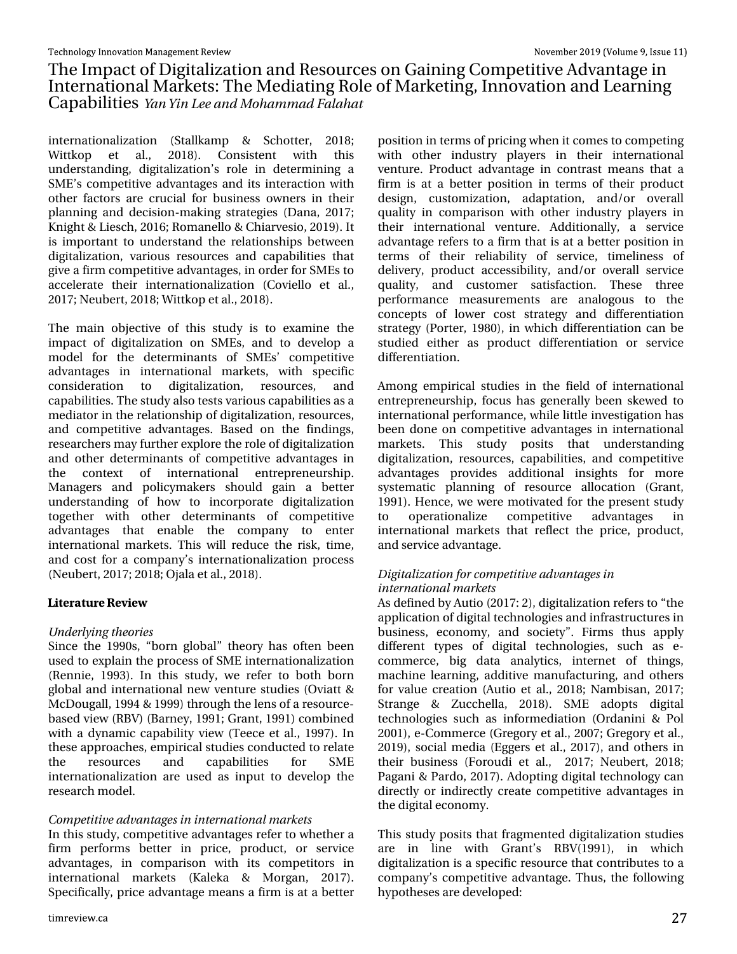# With Lp sdf wr i Glj lwdd} dwlr q dqg Uhvr xuf hv r q J dlqlqj Fr p shwlwlyh Dgydqwdjh Iq Lqwhuqdwlr qdoP dunhw=Wkh P hgldwlqj Ur oh r i P dunhwlqj / Lqqr ydwlr q dqg Chduqlqj Fds delowth Zbo Zio Mf boe N pi bn n be Gbrbi bu

lqwhuqdwlr qdol}dwlr q +Vwdoondp s ) Vf kr whu/ 534; >  $Z$  lwnnrs hw do $V$  534; 1 Fr qvl whq w  $Z$  lwk wklv xqghuvwdqglqj / glj lwdol}dwlr q•v ur oh lq ghwhup lqlqj d VP Hev frp shwlwlyh dgydqwdih v dqg lw lqwhudfwlr q z lwk r wkhu idf wr w duh fuxfldoir u exvlqhvv r z qhuv lq wkhlu sodqqlqj dqg ghf lvlr q0p dnlqj vwudwhj lhv +Gdqd/ 534: > Nglj kw) Ohvf k/ 5349>Ur p dqhoor ) Fklduyhvlr / 534<, 1Lw lv lp sr uwdqwwr xqghuwdqg wkh uhodwlr qvklsv ehwz hhq glj lwdd}dwlr q/ ydulr xv uhvr xuf hv dqg f dsdelolwlhv wkdw jlyh dilup fr p shwlwyh dgydqwd hv/lq rughuiru VP Hv wr df f hohudwh wkhlu lqwhuqdwlr qdol}dwlr q +Fr ylhoor hw dol/ 534: > Qhxehuw 534; > Z lwmnr s hwdd 534; , 1

With p dlq remhf why h ri wkly vwxg | lv wr h{dp lqh wkh lp sdfwri gljlwdd}dwlrg rg VP Hv/dgg wr ghyhors d p r gho ir u wkh ghwhup lqdqw ri VP Hv• f r p shwlwlyh dgydqwd ihv Iq Iqwhuqdwlr qdo p dunhwy z lwk vshflilf f r qvlghudwlr q wr glj lwdol}dwlr q/ uhvr xuf hv/ dqg f dsdelolwhv1Wkh wwxg| dovr whww ydulr xv fdsdelolwlhvdvd p hgldwr ulq wkh uhodwir qvkls rigljlwdol}dwlr q/ uhvr xuf hv/ dqg f r p shwlwlyh dgydqwdj hv1 Edvhg r q wkh ilqglqj v/ uhvhduf khuvp d| ixuwkhuh{ sor uh wkhur ohr i glj lwdol}dwlr q dqg r wkhu ghwhup lqdqwr i f r p shwlwlyh dgydqwdi hv lq wkh frqwh{w ri lqwhuqdwlrqdo hqwuhsuhqhxuvkls1 P dqdjhuv dqg sr olf p dnhuv vkr xog j dlq d ehwhu xqghuvwdqglqj ri krz wr lqfrusrudwh gljlwdd}dwlrq wr j hwkhu z lwk rwkhu ghwhup lqdqwr i frp shwlwlyh dgydqwdjhy wkdw hqdedh wkh frpsdq| wr hqwhu lqwhuqdwlr qdop dunhwr1 Wklv z loo uhgxf h wkh ulvn/wlp h/ dqg f r vwir u d f r p sdq| •v lqwhuqdwlr qdol}dwlr q sur f hvv +Qhxehuw/ 534: >534; >Rrdod hwdol/ 534; ,1

 $-6)4\%74)$   $8-)9$ 

## Voef smzjohui fpsjft

Vlqf h wkh 4<<3v/ –er uq j or edo—wkhr u| kdv r iwhq ehhq xvhg wr h{ sodlq wkh sur f hvv r i VP H lqwhuqdwlr qdol}dwlr q +Uhqqlh/ 4<<6,1 Lq wklv vwxg| / z h uhihu wr er wk er uq j or edodqg lqwhuqdwlr qdoqhz yhqwxuh vwxglhv +Ryldw ) P f Gr x j doo/ 4<<7 ) 4<<<, wkur x j k wkh ohq v r i duhvr xuf h0 edvhg ylhz +UEY, +Eduqh| / 4<<4>J udqw/ 4<<4, f r p elqhg z lwk d g| qdp lf f dsdeldw| ylhz  $+W$ hf h hwdo $1/4 <$ : ,1Lq wkhvh dssur df khv/ hp slulf dovwxglhv f r qgxf whg wr uhodwh wkh uhvrxufhv dqg fdsdelolwlhv iru VPH lqwhuqdwlr qdol}dwlr q duh xvhg dv lqsxwwr ghyhor s wkh uhvhduf k p r gho1

## Dpn qfuju wf bewboubhft jo jouf sobujpob m bsl fut

Lq wklv ww.g|/frp shwlwlyhdgydqwdjhv uhihuwr z khwkhud ilup shuir up v ehwhu lq sulf h/ sur gxf w/ r u vhuylf h dgydqwdjhv/lq frp sdulvrq zlwk lwr frp shwlwr uv lq lqwhuqdwlr qdo p dunhwv +Ndohnd ) P r uj dq/ 534: ,1 Vshflilfdool/sulfh dgydqwdjh phdqvdilup lv dwd ehwhu sr vlwlr q lq whup v r i sulf lqj z khq lwf r p hv wr f r p shwlqj z lwk r wkhu lqgxvwu| sod| huv lq wkhlu lqwhuqdwlr qdo yhqwxuh1 Sur gxf wdgydqwdj h lq f r qwudvwp hdqv wkdwd ilup Iv dwd ehwohu srvlwlrq Iq whup v ri wkhlu surgxfw ghvljq/ f xvwr p l}dwlrq/ dgdswdwlrq/ dqg2ru ryhudoo t xdolw| lq f r p sdulvr q z lwk r wkhu lqgxvwu| sod| huv lq wkhlu lqwhuqdwlr qdo yhqwxuh1 Dgglwlr qdoo| / d vhuylf h dgydqwdj h uhihuv wr d ilup wkdwlv dwd ehwhusr vlwlr q lq whup v ri wkhlu uholdelolw| ri vhuylf h/ wlp holqhvv ri ghdyhu| / sur gxf w df f hwleldw| / dqg2r u r yhudoo vhuylf h txdolw|/ dqg fxwwrphu vdwlvidfwlrq1 Wkhvh wkuhh shuirup dqfh p hdvxuhp hqwv duh dqdorjrxv wr wkh frqfhswv ri orzhu frvw vwudwhil dqg gliihuhqwldwlrq vwudwhj | +Sr uwhu/ 4<; 3,/ lq z klf k gliihuhqwldwlr q f dq eh vwxglhg hlwkhu dv sur gxf w gliihuhqwldwlr q r u vhuylf h gliihuhqwldwr q1

Dp r qj hp slulfdo vwxglhv lq wkh ilhog ri lqwhuqdwlr qdo hqwuhsuhqhxuvkls/irfxv kdv jhqhudoo| ehhq vnhz hg wr lqwhuqdwlr qdoshuir up dqf h/ z kloh olwoh lqyhvwlj dwlr q kdv ehhq gr qh r q f r p shwh wy h dgydqwdj hv lq lqwhuqdwlr qdo p dunhwv1 Wklv vwxg| sr vlwv wkdw xqghuvwdqglqj gljlwdol}dwlr q/ uhvrxuf hv/fdsdelolwlhv/dqg frpshwlwyh dgydqwdj hv sur ylghv dgglwlr qdo lqvlj kwv ir u p r uh v| whp dwlf sodqqlqj ri uhvrxufh doorfdwlrq +Judqw/ 4<<4,1Khqf h/ z h z huh p r wlydwhg ir u wkh suhvhqwvwxg| wr r shudwlr qdol}h f r p shwlwlyh dgydqwdj hv lq lqwhuqdwlr qdo p dunhwv wkdw uhiohf w wkh sulf h/ sur gxf w/ dqg vhuylf hdgydqwdj h1

#### Ejhjubmj{bujpo gpsdpn qfujujwf bewboubhft jo jouf sobujpobmn bsl fut

Dvghilqhg e| Dxwlr +534: = 5,/ glj lwdol}dwlr q uhihuv wr –wkh dssolf dwlr q r i glj lwdowhf kqr or j lhvdqg lqiudvwuxf wxuhv lq exvlqhvv/ hfrqrp |/ dqg vrflhw|  $\rightarrow$  I lup v wkxv dsso| gliihuhqw w| shv ri gljlwdo whfkqrorjlhv/ vxfk dv h0 f r p p huf h/ elj gdwd dqdo| wlf v/ lqwhuqhw r i wklqj v/ p df klqh ohduqlqj / dgglwlyh p dqxidf wxulqj / dqg r wkhuv ir u ydoxh f uhdwlr q  $+Dx$ wlr hwdol  $534$ ;  $>$  Qdp elvdq/  $534$ :  $>$ Vwudqjh ) ] xffkhood/ 534;,1 VPH dgrswv gljlwdo whfkqrorjlhv vxfk dv lqirup hgldwlrq  $+R$ ugdqlql ) Sro 5334,/ h0Frp p huf h +J uhj r u| hwdol/ 533: >J uhj r u| hwdol/ 534<,/wrfldop hgld  $H$ j jhuv hwdol/ 534:,/dqg r wkhuv lq wkhlu exvlqhw  $+$  r ur xgl hw do<sup> $/$ </sup> 534: > Qhxehuw/ 534; > Sdjdgl) Sdugr/534: 1Dgrswlgj gljIwdowhfkgrorj|fdg gluhfwo| ru lqgluhfwo| fuhdwh frp shwlwlyh dgydqwdjhv lq wkhglj lwdohf r qr p | 1

Wklv vwxg| sr vlwv wkdwiudj p hqwhg glj lwdol}dwlr q vwxglhv duh lq olqh z lwk J udqw•v UEY+4<<4,/ lq z klf k glj lwdol}dwlr q lv d vshf lilf uhvr xuf h wkdwf r qwulexwhv wr d f r p sdq| •v f r p shwlwlyh dgydqwdj h1Wkxv/ wkh ir oor z lqj  $k$ | sr wkh vhv duh ghyhor shg =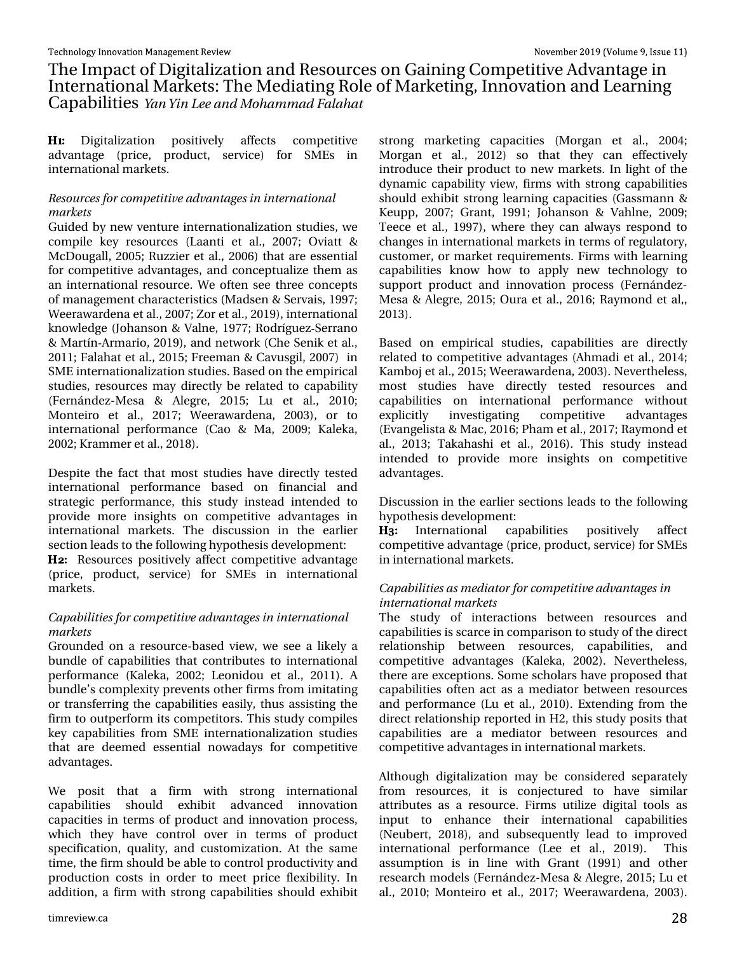## With Lp sdf wr i Glj I wdd}dwr gdgg Uhvr xuf hv r g J dlglgj Fr p shwlwyh Dgydgwdjh I g Lawhuadwr adoP dunhw=Wkh Phaldwai Urchri P dunhwai / Laarydwr a dag Chdualai Fds deld why Zbo Zio Mf boe N pi bn n be Gorbi bu

Glilwdd}dw'r a sr vlwyho diihfw frpshwwyh dgydgwdih +sulfh/ surgxfw/ vhuylfh, iru VPHv lg Igvhugdwr gdop dunhw<sup>1</sup>

Sftpvsdft gosdon qfujuwf bewboubhft jo joufsobujpobm n bsl fut

Jxlghg el qhz yhqwruh lqwhuqdwr qdd}dwr q vwsglhy/zh  $f$ rp sloh nh| uhvrxuf hv + $O$ ddqwl hwdol $\prime$  533: > Ryldww) Pf Gr xj do 5338>Ux } } lhu hwdd 5339, wkdwduh hwhqwdo irufrp shwwlyh dgydgwdihv/dgg frgfhswxdd}h wkhp dv dq lqwhuqdwir qdouhvrxufh1Zh riwhq vhh wkuhh frqfhsw rip dadj hp hawf kdudf whulwuf v +P davha) Vhuydlv/4<<: > Z hhudz dughqd hwdol 533: >] r u hwdol 534<, l qwhuqdwr qdo nqrz ohgj h +Mikdqvrq) Ydoqh/4<:: >Urguðjxh} Vhuudqr ) P dwǎq Dup duir / 534<, / dqg qhwz r un + Fkh Vhq In hwdol/ 5344>I dodkdwhwdol 5348>I uhhp dq) Fdyxvj Id 533:, Iq VP Higwhugdwir gdd dw'r gwxglhv1Edvhgrgwkh hp sluif do word hv under state of the p discussion of the under the under the under the under the under the under the under  $\pm$  hugäggh} OP hvd ) Dohj uh 5348> Ox hw dol 5343> Prawhlur hw dol  $534$ : > Z hhudz dughad  $5336$ , ru w lgwhugdwlrgdo shuirup dgfh +Fdr ) Pd/533<> Nddnnd/ 5335>Nudp p huhwdol 534; , 1

Ghyslyh wkh idfwwkdwprwww.glhvkdyhgluhfwo whymig lgwhugdwrgdo shuirup dgfh edvhg rg ilgdgfldo dgg wudwhjlf shuirup dqfh/wklv ww.g| lqwhdg lqwhqghg wr surylgh pruhlqvljkwrq frpshwwyh dgydqwdjhvlq Igwhugdwrgdo p dunhwr1 Wkh glvfxwlrg Ig wkh hdubhu vhfwlrg ohdgvwrwkhiroorzlgjk|srwkhvlvghyhorsphgw∈

Uhvr xuf hv srvlwyhol diihfw frp shwwyh dgydqwdih +sulfh/surgxfw/vhuylfh, iru VPHv lg lgwhugdwlrgdo p dunhw1

Dbgbcjmuift gosdon gfujuwf bewboubhft jo joufsobujpobm n bsl fut

Jurxqghg rq d uhvrxufh Oedvhg ylhz / z h vhh d dnhd d exagon rifdsdeldwhywkdwfrawdexwhywrlawhuadwhado shuir up dqf h +Nddnnd/ 5335> Ohr qlgr x hwdd/ 5344,1 D exagon v frp soh{lw| suhyhqwrwkhuilup v iurp lp lwdwlqj ru wudqvihuulqi wkh fdsdeldwhv hdvld / wkxv dvvlvwlqi wkh iluo wrrxwshuiruo lwrfrpshylwruv1Wklyw.xalfrpslohy nh| fdsdeldwhy iurp VPH lgwhugdwirgdd}dwlrg woxglhy wkdwduh ghhp hg hwhqwldo qrzdgd|v iru frp shwhwyh dgydqwdj hv1

Zh srvlw wkdw d ilup zlwk wwraj lawhuadwlrado fdsdeldwhv vkrxog h{klelw dgydqfhg lqqrydwrq fdsdflwhylg whup v risurgxfwdgglggrydwhrgsurfhw/ zklfk wkh| kdyh frqwuroryhu lq whup v ri surgxfw vshflilfdwir q/txddw|/dqgfxwwrpl}dwir q1Dwwkh vdph who h/wkhilup vkrxogehdeohwr frqwurosurgxfwlylwydgg surgxfwtrg frww lg rughu wr phhwsulfhidn{leldw|1 Lg dgglwtrg/dilup zlwk wwrgj fdsdeldwhy vkrxog h{klelw wurgi p dunhwlgi fdsdflwhv +P ruidg hw dol/ 5337> Prujdg hw do / 5345, vr wkdw wkh| fdg hiihfwlyho lqwurgxfh wkhlusurgxfwwr ghz pdunhwr1Lq djkwriwkh g gdp If fdsdeldwy ylhz / ilup v z lwk wwr gj fdsdeldwhy vkrxog h{klelwwwrqj ohduqlqj fdsdflwhv+Jdwpdqq) Nhxss/ 533: > Judqw/ 4<<4> Mikdqvrq ) Ydkoqh/ 533<> White h hwdd / 4<<: , / z khuh wkh | fdq dozd v uhvsr qg w fkdgjhvlglgwhugdwhr gdop dunhwrlgwhup v riuhjxodwruj/ fxwrphu'rupdunhwuhtxluhphqw1llupvzlwk ohduglqj fdsdeldwhy ngrz krz wr dssol ghz whfkgroril wr wssruwsurgxfwdqg lqqrydwrq surfhw + huqäqgh}0 P hvd ) Ddnj uh/ 5348>Rx ud hwdd/ 5349>Ud| p r q g hwdd/ 5346.1

Edvhg rg hp slufdo wxglhv/ fdsdeldwhv duh gluhfwo uhodwhg w frp shwwlyh dgydqwdj hv +Dkp dgl hwdol/ 5347> Ndp er mhwdd 5348>Z hhudz dughgd 5336, 1 Qhyhuwk hohw prww.wxglhv.kdyh.gluhfwol.whwhg.uhvrxufhv.dqg fdsdeldwhy rg lgwhugdwlrgdo shuirupdgfh zlwkrxw lqyhvvij dviqj h{solflwo frp shwwyh dgydgwdi hv +Hydgi hdwd) P df / 5349>Sk dp hwdd/ 534: >Ud| p r gg hw dol 5346> Wolndk dvkl hw dol 5349,1 Wklv wxgl lqwhdg lgwhgghg w suryigh pruh lgvijkw rg frpshwlyh dgydgwdi hv1

Glvf x wir q lq wkh hdudhu vhf wir qv ohdgv wr wkh ir oor z lqj k | srwkhvlvghyhorsphqw≠

Lqwhuqdwlrqdo fdsdelolwhy srvlwyho diihf w frp shwwyh dgydgwdih +sulfh/surgxfw/vhuylfh, iru VP Hv Ig Igwhugdwr gdop dunhw'l

Dbqbcjmjft bt n fejbupsgpsopn qfujuwf bewboubhft jo joufsobujpobmn bsl fut

With word ri laybudfwlrav ehozhha uhvrxufhv dag fdsdeldwhyly of dufhla frpsdulvra wrw.glriwkh.gluhfw uhodwir qvkls ehwzhhq uhvrxufhv/ fdsdeldwihv/ dqg frp shwwyh dgydgwdihy +Ndohnd/ 5335,1 Qhyhuwkhohw/ wkhuh duh h{fhswlrqv1Vrph vfkroduv kdyh sursrvhg wkdw fdsdeldwhy riwhg dfwdyd phgldwru ehwzh hg uhvrxufhy dgg shuirup dgfh +Ox hwdd/5343,1H{whgglgj iurp wkh gluhfwuhodwr gykls uhsruwhg Iq K5/wklv wxgl srvlwy wkdw fdsdeldwhy duh d phgldwru ehwzhhq uhvrxufhy dqg frp shwwyh dgydqwdj hvlq lqwhuqdwr qdop dunhwr1

Dowkrxjk gljlwdd}dwirq pd| eh frqvlghuhg vhsdudwho iurp uhvrxufhv/lwlv frqmlfwxuhg wr kdyh vlplodu dwulexwhv dv d uhvrxufh1llup v xwld}h gljlwdowrrov dv lqsxw w hqkdqfh wkhlu lqwhuqdwrqdo fdsdeldwhv +Qhxehuw 534; ,/ dqg vxevht xhqvo dndg w lp suryhg lgwhugdwhr gdo shuir up dgfh +Chh hw dol 534<,1 Wklv dwxpswrg Iv Ig olgh z lwk Judgw +4<<4, dgg rwkhu uhvhduf k p r ghov + huqäqgh} 0P hvd ) Dohj uh/ 5348>Ox hw dol 5343>Prqwhlur hwdol 534: >Z hhudz dughqd 5336,1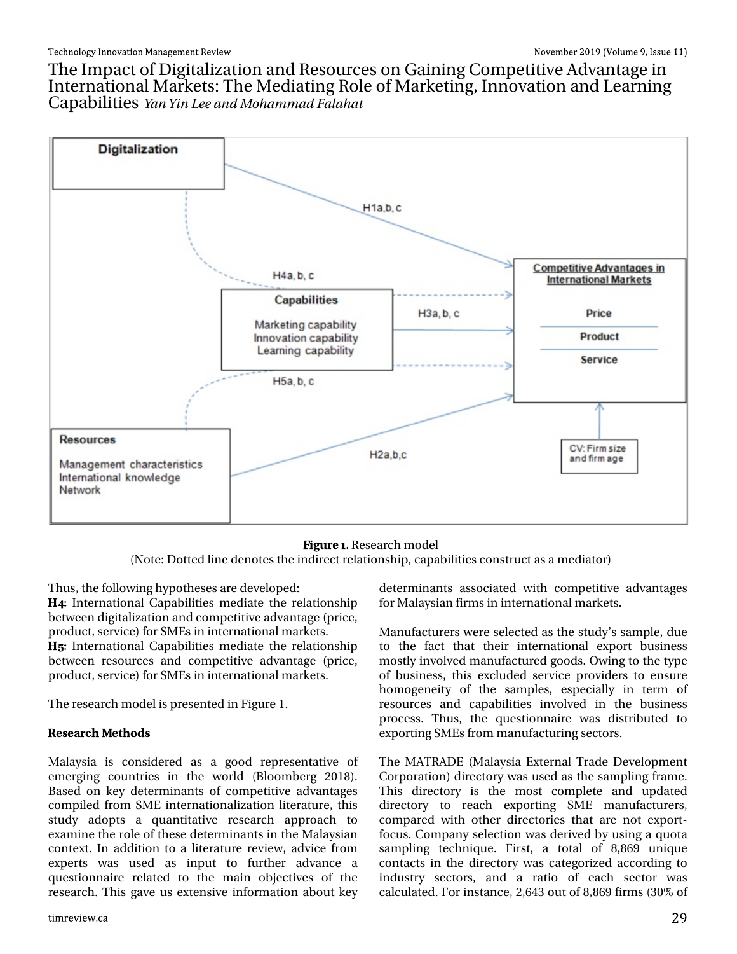With Lp sdf wr i Glj lwdd} dwlr q dqg Uhvr xuf hv r q J dlqlqj Fr p shwlwlyh Dgydqwdjh lq Lqwhuqdwlr qdoP dunhw=Wkh P hgldwlqi Ur oh r i P dunhwigi / Lgqr ydwlr q dqg Ohduqlqi Fds delolwih Zbo Zjo Mf boe N pi bn n be Gbrib bu

> -+74) Uhvhduf k p r gho +Qr wh=Gr whg olqhghqr whv wkhlqgluhf wuhodwlr qvkls/ f dsdelolwlhv f r qvwuxf wdvdp hgldwr u,

When  $x \vee y$  with  $x \vee y$  and  $x \vee y$  is ruth which duhighy has shipsed with  $x \vee y$  with  $x \vee y$ 

Lqwhuqdwlr qdo Fdsdelolwlhv p hgldwh wkh uhodwlr qvkls ehwz hhq glj lwdd}dwlr q dqg f r p shwlwyh dgydqwdj h +sulf h/ sur gxf w/ vhuy If h, ir uVP Hv Iq lqwhuqdwlr qdop dunhwr1

Lqwhuqdwlr qdo Fdsdelolwlhv p hgldwh wkh uhodwlr qvkls ehwz hhq uhvr xuf hv dqg fr p shwlwlyh dgydqwdih +sulf h/ sur gxf w/ vhuylf h, ir uVP Hv lq lqwhuqdwlr qdop dunhwr1

Wh uhvhduf k p r gholv suhvhqwhg lq I lj xuh 41

 $(5)$  %4',  $(6)$  2(5

P dod| vld lv frqvlghuhg dv d jrrg uhsuhvhqvolwlyh ri hp huj lqj fr x q wulhv lq wkh z r uog +Eorrp ehuj 534;,1 Edvhg r q nh| ghwhup lqdqw ri f r p shwlwlyh dgydqwdj hv f r p slohg iur p VP H lqwhuqdwlr qdol}dwlr q olyhudwxuh/ wklv vwxg| dgr swv d t xdqwlwdwlyh uhvhduf k dssur df k wr h{dp lqh wkh ur oh r i wkhvh ghwhup lqdqwv lq wkh P dod| vldq f r qwh{ w1Lq dgglwlr q wr d olwhudwxuh uhylhz / dgylf h iur p h{shuw z dv xvhg dv lqsxw wr ixuwkhu dgydqfh d t xhwlr qqdluh uhodwhg wr wikh p dlq remhf wlyhv ri wikh uhvhduf k1Wklv j dyh xv h{ whqvlyh lqir up dwlr q der xwnh|

ghwhup lqdqwv dvvr fldwhg z lwk frp shwlwlyh dgydqwdj hv ir uP dod| vldq ilup vlq lqwhuqdwlr qdop dunhwu1

P dqxidf wxuhuv z huh vhohf whg dv wkh vwxg $| \cdot v \rangle$  vdp soh/ gxh wr wkh idf w wkdw wkhlu lqwhuqdwlr qdo h{ sr uw exvlqhvv p r woo| lqyr oyhg p dqxidf wxuhg j r r gv1Rz lqj wr wkh w| sh ri exvlqhw/ wklv h{f oxghg vhuylfh sur ylghuv wr hqvxuh krp r j hqhlw| r i wkh vdp sohv/ hvshfldoo| lq whup r i uhvr xuf hv dqg f dsdelolwlhv lqyr oyhg lq wkh exvlqhvv sur f hw1 Wkxv/ wkh t x hww r a adluh z dv glw wlexwha wr h{ sr uwlqj VP Hv iur p p dqxidf wxulqj vhf wr uv1

With P DWUDGH +P dod| vid H{ whuqdo Wudgh Ghyhor sp hqw Fr usr udwir q, gluh fwr u| z dv xvhg dv wkh vdp solqi iudp h1 Wilv gluhfwru| lv wich p r vw frp sohwh dqg xsgdwhg gluhf wr u| wr uhdfk h{sruwlqj VPH p dqxidf wxuhuv/ frp sduhg z lwk rwkhu gluhfwr ulhv wkdwduh qrwh $\frac{1}{2}$ sr uw $\frac{1}{2}$ ir f xv1Fr p sdq| vhohf wlr q z dv ghulyhg e| xvlqj d t xr wd vdp solqj whf kqlt xh1 I luvw/d wrwdo ri ; /; 9< xqlt xh fr qwdfwr lq wkh gluhfwru| z dv f dwhjrul}hg dffruglqj wr lqgxwu| vhfwruv/ dqg d udwlr ri hdfk vhfwru z dv f dof xodwhg1I r ulqvwdqf h/ 5/976 r xwr i ; /; 9< ilup v +63( r i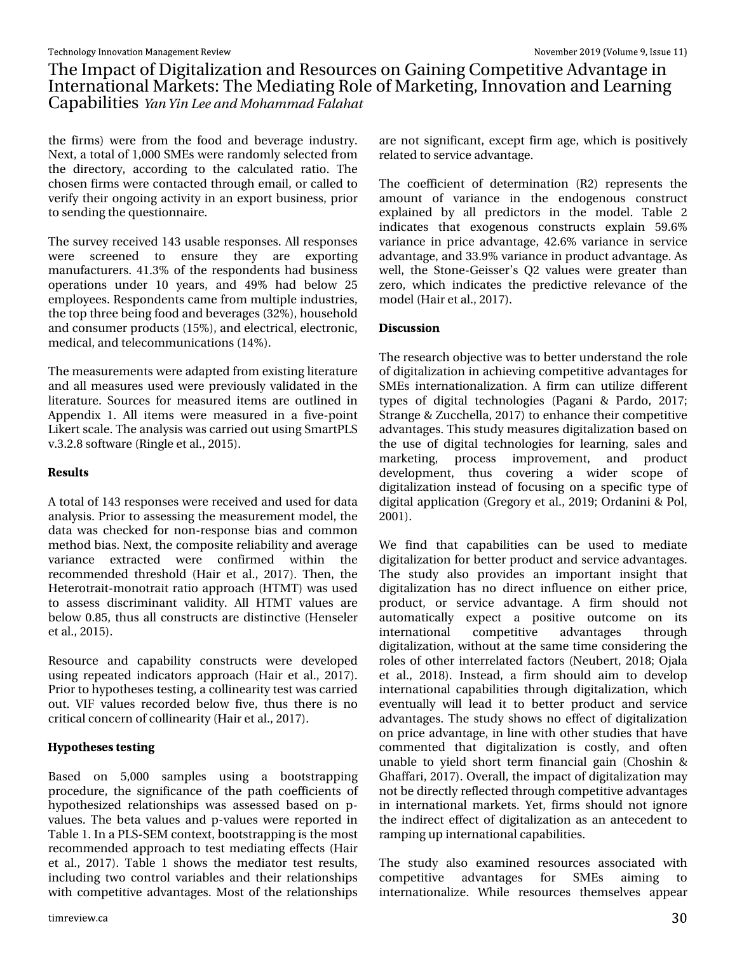# With Lp sdf wr i Glj I wdd}dwr gdgg Uhvr xuf hv r g J dlglgj Fr p shwlwyh Dgydgwdjh I g Lawhuadwr adoP dunhw=Wkh Phaldwai Urchri P dunhwai / Laarydwr a dag Chdualai Fds deld why Zbo Zio Mf boe N pi bn n be Gorbi bu

wkh ilup v, z huh iurp wkh irrg dag ehyhudjh lagxwul 1 Qh{w/dwrwdori4/333 VP Hvzhuhudggrpd vhohfwhgiurp wkh gluhfwrul/dffruglgj wr wkh fdofxodwhg udwir1 Wkh fkr vha ilup v z huh fr qwdfwh gwkur x jk hp dlofr u fdodn gwr yhui| wkhlurqjrlqj dfwlylw| lq dq h{sruwexvlqhw/sulru w vhqglqj wkhtxhwwrqqdluh1

With vx uyh | uhf hlyhg 476 x vded nuhvs r g vhv1 Doouhvs r g vhv zhuh vfuhhqhg wr hqvxuh wkh duh h{sruwlqi p dqxidfwcuhuv17416(riwkh uhvsrqghqwrkdgexvlqhw rshudwr qv xqghu 43 | hduv/ dqg 7< (kdg ehorz 58 hpsor|hhv1Uhvsrgghqwrfdphiurppxowlsohlggxwulhv/ wkh wrswkuhhehlqjirrgdqgehyhudjhv+65(,/krxvhkrog dqg frqvxp husurgxfw +48(, /dqg hohfwulfdo/hohfwurqlf/ phalfdo/dagwhdnfrppxalfdwlrgv+47(,1

With photox uhphqwezhuh dgdswhgiurph{lwwqidwhudwsuh dag doop hdvxuhv xvhg z huh suhylr xvol yddigdwhg la wkh dwhudwxuh1 Vrxufhviru phdvxuhg lwhpvduh rxwdghg lg Dsshqql{ 41 Doolwhp v z huh p hdvxuhg lq d ilyh0srlqw Onhuwf don1Wkh dqdd vlvz dvfduulhg rxwxvlqi Vp duwSOV y 16151; vr ivz duh +Ulqj dn hwdd/ 5348,1

#### $)57/65$

Dw volor i 476 uhvsr gyhy z huh uhf hlyhg dag xyhg ir u gdvol dqdd vlv1Sulruw dwhwlqj wkhphdvxuhphqwprgholwkh gdwd z dv fkhfnhg iru grg Ouhvsrg vheld v dgg frp prg phykrgeldy1Qh{w/wkhfrpsrvlwhuhddeldw|dqgdyhudjh yduldgfh h{wudfwhg zhuh frgiluphg zlwklg wikh uhfrpphagha, wkuh vkroa, +Kdluh wdol/534:,1Wkhq/wkh Khwhurwudlw@prgrwudlwudwlrdssurdfk +KWPW, zdv xvhg w dwhw glvf up lqdqw yddglw 1 Doo KWP W ydoxhv duh ehor z 31,8/ wkxv doof r gww.xf w duh glw logf wlyh +K hayhohu hwdol/ 5348, 1

Uhvrxufh dqg fdsdeldw| frqwuxfw zhuh ghyhorshg xvlqj uhshdwhg lqglfdwruv dssurdfk +Kdlu hwdd/534:,1 Sulruw k|srwkhvhvwhwwlqj/dfrodqhdulw|whwzdvfduulhg rxw1 YU ydoxhv uhfrughg ehorz ilyh/wkxv wkhuh lv qr f uwf dof r qf hug r i f r odghduw + K dluhwdo / 534: 1

 $326$ ) 5 56 56 1 +

Edvhg rq 8/333 vdp sohv xvlqj d errwwwdsslqj surfhgxuh/wkh vljqlilfdqfh riwkh sdwk frhilflhqwy ri k| srwkhvl}hg uhodwlrqvklsv zdv dvvhvvhg edvhg rq s0 ydoxhv1 Wkh ehwd ydoxhv dag s0ydoxhv z huh uhsruwhg Iq Woleoh 41Lq d SOVOVHP frqwh{w/errwwwdsslqjlvwkhprww uhfrpphaghadssurdfk w whw.phgldwlgihiihfw +Kdlu hwdd / 534: 1 Wded 14 vkrz v wkh p hgldwru whw uhvxow/ lqfoxglqj wzr frqwurolyduldedhydgg wkhlu uhodwlrqvklsv z lwk frp shwlwyh dgydgwd hv1P rwwriwkh uhodwlrgyklsv

duh qr wvlj qlilf dqw/h{fhswilup djh/zklfk lv sr vlwlyhd uhodwhg w vhuylf h dgydgwdi h1

With frhilflhqwrighwhuplqdwrg +U5, uhsuhvhqwy with dprxqwri yduldqfh lq wkh hqgrjhqrxv frqwuxfw h{sodlqhg e| doo suhglfwruw lq wkh prgho1 Woleoh 5 lqglfdwhv wkdw h{rjhqrxv frqww.xfwv h{sodlq 8<19( ydudgfh Ig sufh dgydgwdih/7519 (ydudgfh Ig yhuylfh dgydqwdj h/dqg 66k (yduldqf h lq sur gxf wdgydqwdj h1Dv z hoo' wkh Ww ghQJ hlwhuw T5 ydoxhv z huh juhdwhu wkdg }hur/zklfk lqglfdwhv wkh suhglfwlyh uhdnydqfh ri wkh p r gho+K dluhwdol 534: , 1

#### $-5'755-21$

With uhvhduf k remhf why z dv wrehwhux qghuwdqg with ur oh riglj lwdd}dw'r g lg dfklhylgj frp shwlwyh dgydgwdjhviru VP Hv lgwhugdwr gdd}dwr g1D ilup fdg xwd}h gliihuhgw  $\psi$ shv ri gljivolo vhfkqrorjihv +Sdjdql) Sdugr/534:> Wudqjh) ] xffkhood/534:, wr hqkdqfh wkhlufrpshwlwyh dgydgwdi hv1Wklv wxg phdvxuhv gli lwdd}dwr gedvhg r g wkh xvh ri gljlwdowhfkqrorjlhv iru ohduqlqj/vdohv dqg p dunhwlqj/ surfhw lp suryhp hqw/ dqg surgxfw ghyhorsphqw/wkxv fryhulgi d zighu vfrsh ri gljlwdd}dwrq lqwhdg ri irfxvlqj rq d vshflilf w|sh ri glil volodssolf dwirg + Juhirul hwdol/534 <> Rugdqlql) Srol 5334,1

Zh ilgg wkdw fdsdeldwth fdg eh xvhg wr phgldwh glilwdd}dw'r gir u ehwhu sur gxfwdgg yhuylfh dgydgwdihy1 With wxg| dovr surylghv dq lp sruwdqw lqvljkw wkdw glj lwdd}dwr q kdv qr gluhfwlqioxhqfh rq hlwkhu sulfh/ surgxfw/ ru vhuylfh dgydqwdjh1 D ilup vkrxog qrw dxwrpdwfdod h{shfwd srvlwlyh rxwfrph rq lwr lgwhugdwlr gdo frpshwlwyh dgydgwdi hv wkurxik gljlwdol}dwlrq/zlwkrxwdwwkh vdphwlphfrqvlghulqjwkh urdhvrir wkhulqwhuuhodwhg idfwruv + Qhxehuw 534; > Rndod hwdd/534;,1 Lqwhdg/d ilup vkrxog dlp wr ghyhors lqwhuqdwlrqdofdsdeldwlhvwkurxjkgljlwdd}dwlrq/zklfk hyhqwxdool zloo ohdg lwwr ehwohu surgxfwdgg vhuylfh dgydgwdih v1 Wkh wxg vkrz v grhiihfwrigliwdd dw'r g rq sulfh dgydqwdjh/lq olqh z lwk rwkhu wwxglhvwkdwkdyh frpphqwhg wkdwgljlwdd}dwlrq lv frvwol/dqg riwhq xqdedn wr | lhog vkruw whup ilqdqfldo jdlq + Fkrvklq ) J k diidul/534:, 1 R y hudoo/ wk h I p s df wr i glil vdd } dw'r q p dl grweh gluh fwo uhidn fwhg wkurxjk frp shwlwyh dgydgwdjh v lg lgwhugdwhr gdo p dunhwr 1 \ hw'ilup v vkrxog grwljgruh wkh lagluhf whiihf wriglil wold dwr a dv da dawnfhahawwr udp siqj xslqwhuqdwir qdofdsdeldwhv1

With wing down h{dp lqhq uhvrxufhv dwrfldwhg zlwk frpshwhyh dgydqwdihy iru VPHv dlplqi Iqwhuqdwirqdd}h1 Z kloh uhvrxufhv wkhp vhoyhv dsshdu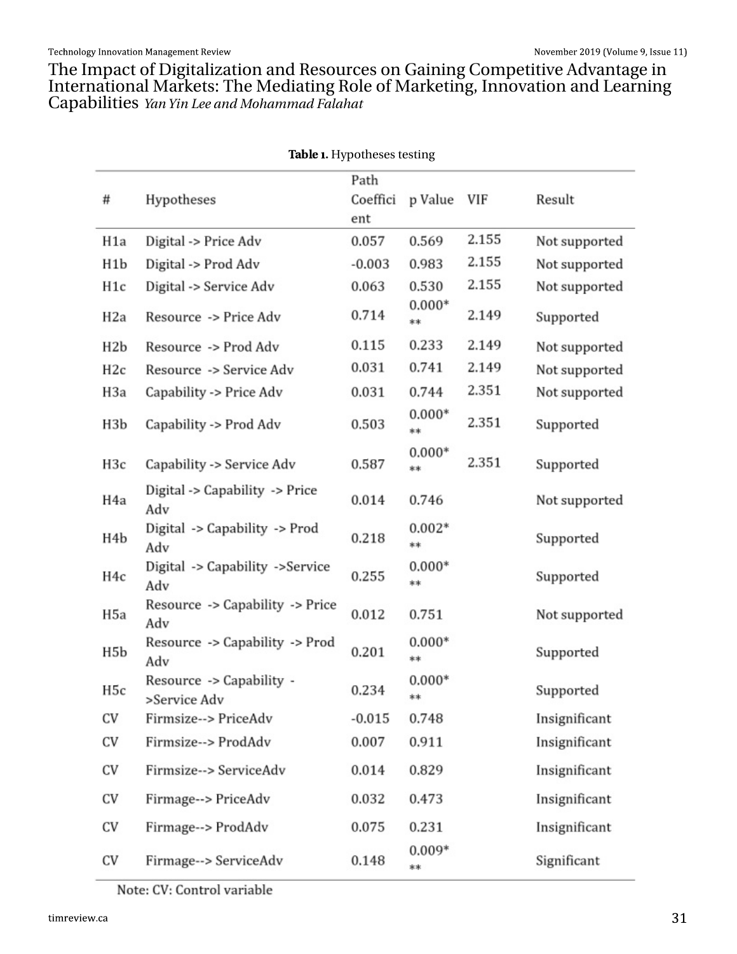Wikh LpsdfwriGljlwdd}dwlrqdqgUhvrxufhvrqJdlqlqjFrpshwhyhDgydqwdjhlq<br>LqwhuqdwlrqdoPdunhw=WikhPhgldwlqjUrdhriPdunhwlqj/LqqrydwlrqdqgChduqlqj<br>FdsdeldwlhvzbozjoMifboeNpibnnbeGombibu

%2%) K|srwkhvhvwhvwlqj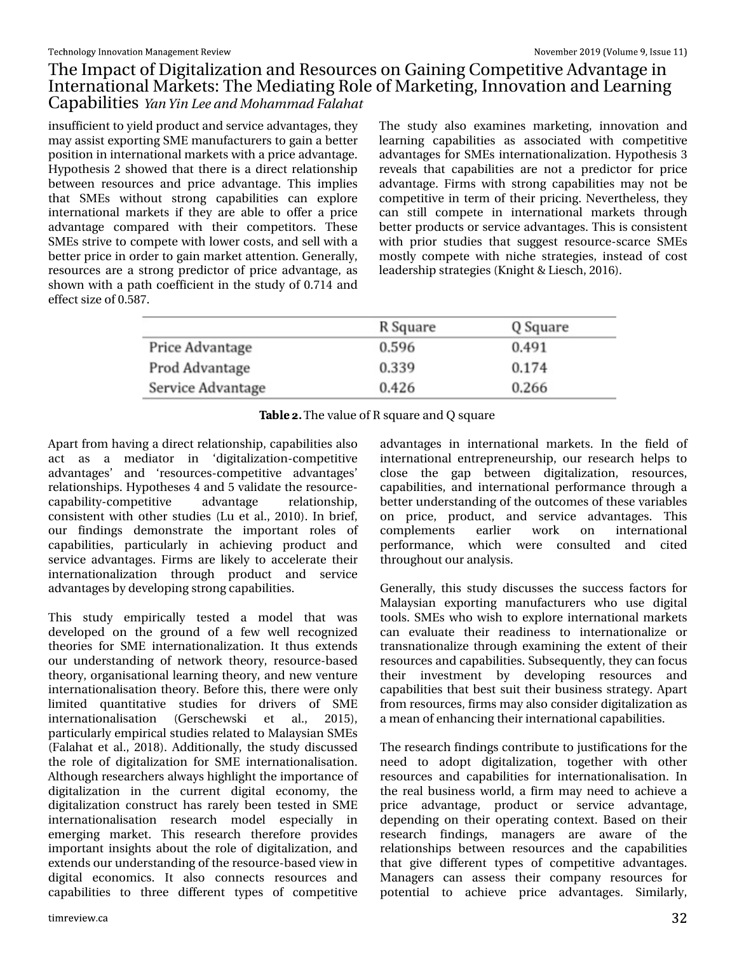# With Lp sdf wr i Glj lwdd} dwlr q dqg Uhvr xuf hv r q J dlqlqj Fr p shwlwlyh Dgydqwdjh Iq Lqwhuqdwlr qdoP dunhw=Wkh P hgldwlqi Ur oh r i P dunhwlqi / Lqqr ydwlr q dqq Ohduqlqi Fds delowth Zbo Zio Mf boe N pi bn n be Gbrbi bu

lqvxiilf lhqwwr | lhog sur gxf wdqg vhuylf hdgydqwdj hv/ wkh| p d| dvvlvwh{ sr uwlqj VP Hp dqxidf wxuhuv wr j dlq d ehwhu sr vlwtr q lq lqwhuqdwlr qdop dunhwy z lwk d sulf hdgydqwdi h1  $K$ | sr wkhvlv 5 vkr z hg wkdwwkhuh lv d gluhf wuhodwlr qvkls ehwz hhq uhvr xuf hv dqg sulf h dgydqwdj h1 Wklv lp solhv wkdw VP Hv z lwkr xw vwur qj f dsdelolwlhv f dq h{ sor uh lqwhuqdwlr qdop dunhwv li wkh| duh deoh wr r iihu d sulf h dgydgwdjh frp sduhg z lwk wkhlu frp shwlwr uv1 Wkhvh VP Hv vwulyh wr f r p shwh z lwk or z huf r vwv/ dqg vhooz lwk d ehwhusulf h lq r ughuwr j dlq p dunhwdwhqwlr q1J hqhudool / uhvr xuf hv duh d vwur qj suhglf wr u r i sulf h dgydqwdj h/ dv vkr z q z lwk d sdwk fr hiilf lhqwlq wkh vwxg| ri 31: 47 dqg hiihf wwl}h r i 318; : 1

With wwig dow h{dp lqhv p dunhwlqj / lqqr ydwir q dqg ohduqlqj f dsdelolwlhv dv dvvr f ldwhg z lwk f r p shwlwlyh dgydqwdj hv ir u VP Hv lqwhuqdwlr qdd}dwlr q1K | sr wkhvlv 6 uhyhdov wkdwfdsdeldwhv duh qrwd suhglfwru ir u sulfh dgydqwdj h1I lup v z lwk vwur qj f dsdelolwlhv p d| qr weh frp shwhwlyh lq whup ri wkhlusulf lqj 1Qhyhuwkhohvv/wkh| f dq vwloo f r p shwh lq lqwhuqdwlr qdo p dunhwv wkur xj k ehwhusur gxf wv r uvhuylf h dgydqwdj hv1Wklv lv f r qvlvwhqw z lwk sulr u vwxglhv wkdw vxj j hvw uhvr xuf h0vf duf h VP Hv p r vwo| f r p shwh z lwk qlf kh vwudwhj lhv/ lqvwhdg r i f r vw ohdghuvkls vwudwhj lhv +Nqlj kw) Olhvf k/ 5349,1

### %&/) Wkhydoxhr i U vt xduhdqg T vt xduh

Dsduwiur p kdylqj d gluhf wuhodwlr qvkls/fdsdelolwlhv dovr dfw dv d p hgldwru lq "gljlwdd}dwlr q0frp shwwlyh dgydqwdj hv• dqg "uhvr xuf hv0f r p shwlwlyh dgydqwdj hv• uhodwlr qvklsv1K| sr wkhvhv 7 dqg 8 ydolgdwh wkh uhvr xuf h0 fdsdelolw| 0f r p shwlwlyh dgydqwdjh uhodwlr qvkls/ fr qvlvwhqwz lwk r wkhu vwxglhv +Ox hwdol 5343,1Lq eulhi/ r xu ilqglqjv ghp r qww.dwh wkh lp sruwdqw ur ohv ri f dsdelolwlhv/ sduwlf xoduo| lq df klhylqj sur gxf w dqg vhuylf h dgydqwdj hv1 I lup v duh olnho| wr dff hohudwh wkhlu lqwhuqdwlr qdol}dwlr q wkur xj k sur gxf w dqg vhuylf h dgydqwdjhve| ghyhorslqj vwur qj fdsdelolwhv1

Wklv ww.g| hp slulfdoo| whw.hg d p r gho wkdw z dv ghyhor shg rq wkh jurxqq rid ihz zhoo uhfrjql $\{$ hg wkhr ulhv ir u VP H lqwhuqdwlr qdol}dwlr q1 Lw wkxv h{whqgv r xu xqghuvwdqglqj r i qhwz r un wkhr u| / uhvr xuf h0edvhg wkhr uj / r uj dqlvdwir qdoohduqlqj wkhr uj / dqg qhz yhqwxuh lqwhuqdwir qddvdwlr q wkhr u| 1 Ehir uh wklv/ wkhuh z huh r qo| dp lwhg t xdqwlwdwlyh vwxglhv iru gulyhuv ri VPH lqwhuqdwlr qddvdwlr q +J huvf khz vnl hw do<sup>1</sup> 5348, sduwlf xoduo| hp slulfdow xigth vuhodwhg wr P dod| vldq VP Hv +I dodkdwhwdo1/ 534; ,1Dgglwlr qdoo| / wkh vwxg| glvf xvvhg wkh ur oh r i gljlwdol}dwlrq ir u VP H lqwhuqdwlr qdolvdwlr q 1 Dowkr xj k uhvhduf khuv doz d| v klj kolj kwwkh lp sruwdqfh ri glj lwdol}dwlrg lg wkh fxuuhqw glj lwdo hfrgrp |/ wkh glj lwdol}dwlr q fr qwwuxf w kdv uduho| ehhq whwhg lq VP H lqwhuqdwlr qdolvdwlr q uhvhduf k prgho hvshfldoo| lq hp huj lqj p dunhw1 Wklv uhvhduf k wkhuhir uh sur ylghv lp sr uwdqwlqvlj kwv der xwwkh ur oh r i glj lwdol}dwlr q/ dqg h{ whqgv r xuxqghuvwdqglqj r i wkhuhvr xuf h0edvhg ylhz lq glj lwdo hf r qr p lf v1 Lw dovr f r qqhf wv uhvr xuf hv dqg fdsdelowlhv wr wkuhh gliihuhqw w| shv ri frp shwlwlyh dgydqwdjhv lq lqwhuqdwlr qdo p dunhwu1 Lq wkh ilhog ri lqwhuqdwlr qdo hqwuhsuhqhxuvkls/ r xu uhvhduf k khosv wr f or vh wkh j ds ehwz hhq glj lwdol}dwlr q/ uhvr xuf hv/ fdsdeldwhv/dqg lqwhuqdwr qdoshuir up dqfh wkur xjk d ehwhuxqghuvwdqglqjriwkh rxwfrphvriwkhvhyduldedhv r q sulf h/ sur gxf w/ dqg vhuylf h dgydqwdj hv1 Wklv f r p sohp hqwv hduolhu z r un r q lqwhuqdwlr qdo shuirup dqfh/zklfk zhuh frqvxowhg dqg flwhg wkur xj kr xwr xudqdo| vlv1

Jhqhudoo|/ wklv vwxg| glvfxwhv wkh vxffhw idfwruv iru P dod| vldq h{ sr uwlqj p dqxidf wxuhuv z kr xvh glj lwdo wr ov1 VP H v z kr z lvk wr h { sor uh lqwhuqdwlr qdop dunhw f dq hydoxdwh wkhlu uhdglqhvv wr lqwhuqdwlr qdol}h r u wudqvqdwlr qdol}h wkur xj k h{dp lqlqj wkh h{ whqwr i wkhlu uhvr xuf hvdqg fdsdeld whv1Vxevht xhqwo| / wkh| fdq ir f xv wkhlu lqyhvwp hqw e| ghyhor slqj uhvr xuf hv dqg f dsdelowth wkdwehwwxlwwkhluexvlqhw ww.dwhilingsduw iur p uhvr xuf hv/ ilup vp d| dovr f r qvlghuglj lwdol}dwlr q dv dp hdq r i hqkdqf lqj wkhlulqwhuqdwlr qdof dsdelolwlhv1

Wikh uhvhduf kilqglqjv fr qwulexwh wr mavwlilf dwlr qv ir uwkh qhhg wr dgrsw gljlwdol}dwlrq/ wrjhwkhu z lwk rwkhu uhvr xuf hv dqg fdsdelolwlhv ir u lqwhuqdwlr qdolvdwlr q1 Lq wkh uhdoexvlqhvv z r uog/ d ilup p d| qhhg wr df klhyh d sulfh dgydqwdjh/ surgxfw ru vhuylfh dgydqwdjh/ ghshqqlqj rq wkhlu rshudwlqj frqwh{w1 Edvhg rq wkhlu uhvhduf k ilqglqjv/ p dqdjhuv duh dz duh ri wkh uhodwlr qvklsv ehwz hhq uhvr xuf hv dqg wkh f dsdelolwlhv wkdw jlyh gliihuhqw w| shv ri frp shwlwlyh dgydqwdjhv1 P dqdjhuv fdq dvvhvv wkhlu frp sdq| uhvrxufhv iru sr whqwldo wr dfklhyh sulfh dgydqwdjhv1 Vlp loduo)/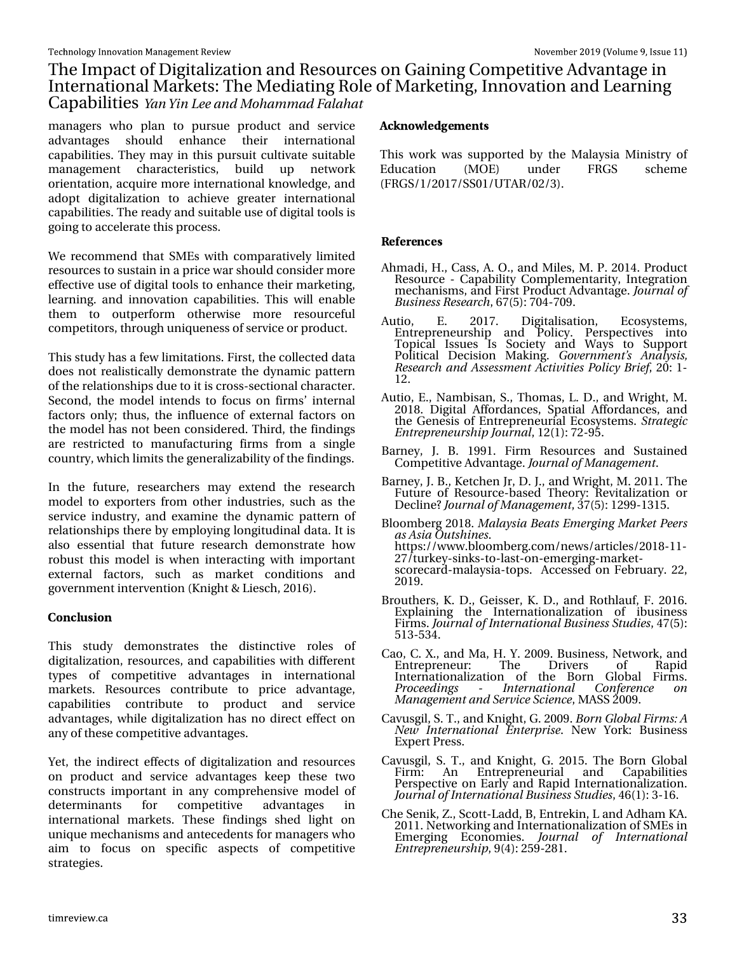# With Lp sdf wr i Glj I wdd dw'r gdg Uhvr xuf hv r g J dlglgj Fr p shwlwyh Dgydgwdjh I g Lawhuadwr adoP dunhw=Wkh Phaldwai Urchri P dunhwai/Laarydwr a dag Chdualai Fdsdeldwhy Zoo Zio Mf boe Npi bn n be Gorbi bu

pdqdjhuv zkr sodq wr sxuvxh surgxfwdqg vhuylfh dgydgwdihy ykrxog hgkdgfh wkhlu lgwhugdwlrgdo fdsdeldwhy1Wkh| pd| lq wklv sxuxlwfxowlydwh vxlwdedn p dqdjhp hqw fkdudfwhulwulfv/ exlog xs qhwzrun rul hawdwir g/ dft x luh pruh lawhuadwir adonarz ohgi h/dag dgrswgljlwdd}dwrq wr dfklhyh juhdwhu lqwhuqdwrqdo fdsdeldwhy 1 Wkh undg | dag vxlwded nx vhriglilwdowr ovly jrlqjwrdffhohudwhwklvsurfhw1

Zh uhfrpphag wkdw VP Hv zlwk frpsdudwlyhol olplwhg uhvrxufhvwr vxwodlqlqdsulfhzduvkrxogfrqvlghupruh hiihf why x vh r i glj lwdowr ov wr hqkdqfh wkhlup dunhwlqj / onduglig 1 dag liggrydwr a folsoleldwhy 1 Willy z loo hadeon wr rxwshuirup rwkhuzlvh pruh uhvrxufhixo wkho frp shwww/wkurxjkxqltxhqhwrivhuylfhrusurgxfwl

Wilv wxg| kdv dihz olp lwdwlr qv1l luww/wkhfrochfwhggdwd grhv grwuhdol whfdool ghp rgwudwh wich glodp if sdwohug rivkh uhodwir qvklsv gxhwrlwlv furvvOvhfwlrgdofkdudfwhu1 Vhfrag/wkhprgholgwhagywrirfxvrgilupwolgwhuado idfwruw rad >wk.xv/wk.hlaioxhafh.rih{whuqdo.idfwruw.ra wkhprghokdv qrwehhqfrqvlghuhg1Wklug/wkhilqglqjv duh uhwulfwhg wr pdqxidfwxulqj ilupviurp d vlqjoh frxqwd/zklfkdplwwkhjhqhudd}deldw|riwkhilqalaiv1

Lq wkh ixwsuh/uhvhdufkhuv pd| h{whqg wkh uhvhdufk prghow h{srumtuviurp rukhulqgxwudhv/vxfk dvukh vhuylfh lqgxwul/dqg h{dp lqh wkh g|qdp lf sdwhuq ri uhodwir qvklsv wkhuh e| hpsor|lqjorqjlwxglqdogdwd1Lwlv dour hwhqwldowkdwixwsuh uhvhdufk ghprqwudwh krz urex www.klvprgholvzkhqlqwhudfwlgjzlwklpsruwdqw h{whuqdo idfwruw/ vxfk dv pdunhw frqglwlrqv dqg j r yhugp hqwlqwhuyhqwlr q +Nqlj kw) Chvf k/5349,1

#### $21' / 75 - 21$

Wiklv woxg| ghprqww.dwhv wkh glwwlqfwlyh urohv ri glilwdd}dw'r g/ uhvr xuf hv/dgg fdsdeldwlhv zlwk gliihuhgw wishv ri frpshwlwyh dgydqwdjhv lq lqwhuqdwirqdo p dunhwu1 Uhvrxufhv frqwulexwh wr sulfh dgydqwdih/ fdsdeldwhy frqwulexwh wr surgxfw dqg vhuylfh dgydgwdihw z kloh glilwdoldwir g kdv gr gluhfwhiihfwr g dq | rivkh whfrp shwlwy hdgyd qwdjh v1

\hw/wkhlqgluhfwhiihfwrrigljlwdd}dwlrqdqguhvrxufhv rg surgxfwdgg yhuylfh dgydgwd hy nhhs wkhyh wzr frqwwxfw lpsrwdqwlqdq| frpsuhkhqvlyhprghori ir u frpshwlwyh ghwhup Igdgw dgydgwdi hv Ιa lgwhugdwr gdo p dunhwr1 Wkhyh ilgglgjv ykhg djkwrg xqlt xh p hf kdqlvp v dqg dqvhf hghqw ir up dqdj hw z kr dlp wr irfxv rq vshflilf dvshfwr ri frpshwlwyh wudwhj Ihv1

 $1.129/(\pm)0.165$ 

Wilvzrun zdv vxssruwhge | wich Pdod | vid Plqlwud ri  $+P$  RH, I UJ V Hgxfdwlr q xqqhu vfkhph 4 UJ V242534: 2VV342X VDU23526, 1

 $)$ \*) 4) 1') 5

- Dkp dgl/K1/Fdw/D1R1/dqg Pldnv/P1S153471Surgxfw Uhvr x u h 0 Fdsdeldwr Fr p sonp hqwduwl / Lqwhj udwr q<br>p hf kdqlyp v dqg i luwSurgxf w Dgydqwdj h 1 Kpv sobmpg Ö∨tjoftt Sftfbsdi ⁄9: +8,≕ 370: 3<1`
- $Dxwr/$ H1  $534:1$ Glj Iwdolvdwlr q/  $Hf r v/whp v/$ How this discussion of the Muslim of How the Muslim of Wildem Wildem Wildem Wildem School and Muslim School and School and School and School and School and School and School and School and School and School and School and Sftfbsdi boe Bttfttn fou Boljwjijft Opmjdz Csjfg 53=40 451
- Dxwr / HV Qdp elvdq/ VV Wkr p dv/ OIGV dqg Z uj kw P 1 534; 1 Glj Ivdo Diir ugdqfhv/ Vsdwldo Diir ugdqfhv/dqg wk hiJhqhvlv ri Hqwuhsuhqhxuldo Hfrv∣whno viTusbufhjd Foust qst of vstijq Kovsobm 45—14,  $= 50 \times 81$
- Edugh|/ M E1 4<<41 I lup Uhvrxuf hv dgg Vxwollghg Frp shwlwyh Dgydqwdj h1Kpv sobmpgN bobhfn foul
- Edugh|/MEY Nhwfkhq MV G1M/dqg Z uj kwfP 153441Wkh lxwxuh ri Uhvrxufh0edvhg WkhTrul=Uhylwdol}dwlrq ru Ghf dghBhóv sobmpgN bobhfn fou 6: +8,=45<<046481
- Eorrpehuj 534; 1N brbztjb Cfbut Fn fshjoh N bsl fu Offst bt Btib Pvuti joft1 kwsv=22z z z feorr pehuj fir p2qhz v2duwlfolv2534;0440<br>5:2wxunh|0 dqnv0wr0odvwarq0hphujlqj0pdunhw0 vf r uhf dug 0 dod| vid 0wr s v 1 Df f hw hg r q I he ux du 155/  $534<1$
- Eur xwkhuw/ N1G1/ J hlwhu/ N1G1/ dqg Ur wkodxi/ I 153491 H{sodlqlqj wkh Lqwhuqdwlrqdd}dvwrq ri lexvlqhvv<br>llupv1Kpvso.bmpgJoufso.bujpo.bmCvtjofttTuvejft/7:+8,= 84608671
- Fdr / F1[ 1 dqg P d/ K1\ 1533<1Ex vighw/ Qhwz r un/ dqg Udsig Wkh Gulyhuv  $H$ qwhsuhqhxu $=$ ri Nbobhfn fouboe Tfswidf Tdifodf/PDW533<1
- Fdyxyj Id V1W dag Nalj kw J 1533<1Cpso HmpcbmGsn t; B Ofx Joufsobujpobm Foufsqsjtf1 Qhz \run=Exvlghw H {shuwSuhw1
- Fdyxvjld V1 WV dqg Nqljkw J153481 Wkh Eruq Joredo llup = Dq Hqwuhsuhqhxuldo dqg Fdsdeldwhy Shuvshfwlyh rq Holuo) dqg Udsig Lqwhuqdwlrqdol}dwlrq1 KpvsobmpgJoufsobujpobmČvtjofttTuvejft/79+4,=60491
- Fkh Vhqln/] 1 Vfr wiOdgg/E/Hqwhnlq/Odqg Dgkdp ND1 53441Qhwzrunlqjdqg Lqwhuqdwlrqdol}dwlrqriVPHvlq Ho hujlqj Hfrqrphivi Kovsobm pg Joufsobujpobm Fousi qsf of vsti jq/ <+7, = 58 < 05; 41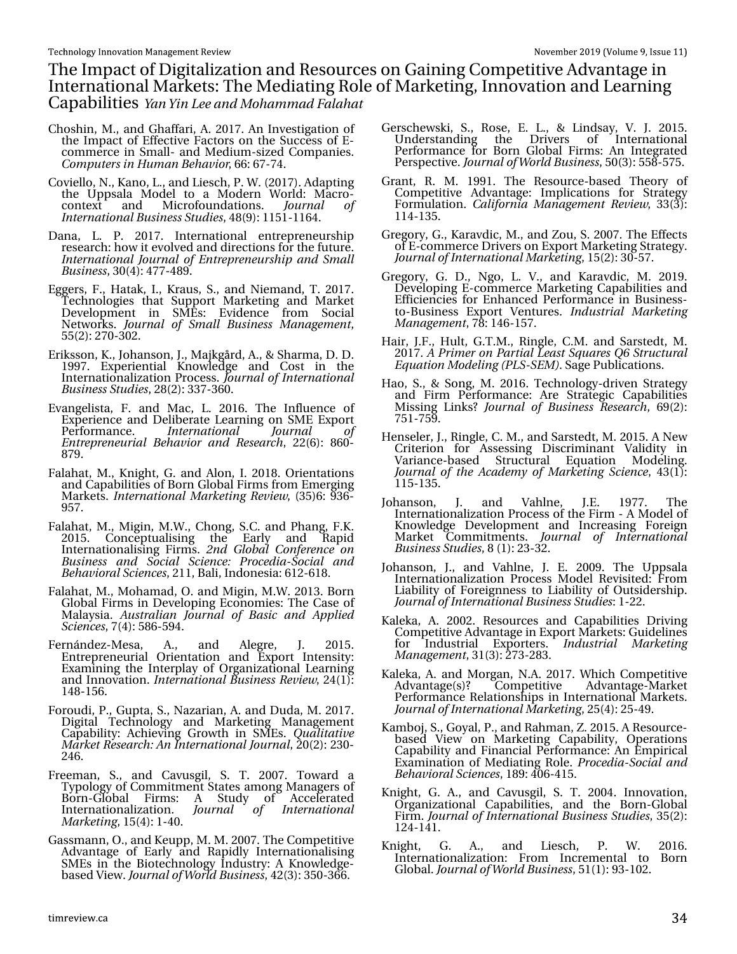With Lp sdf wr i Glj I vdd} dw'r q dqg Uhvr x uf hv r q J dlqlqj Fr p shwlwyh Dgydq vdj h I q Lawhuadwr adoP dunhw=Wkh Phaldwai Urchri P dunhwai/Laarydwr a dag Chdualai Fdsdeld why Zoo Zio Mf boe Npi bn n be Gorbi bu

Fkr vklq/ P 1/ dqg J kdiidu/ D1534: 1Dq Lqyhvvlj dwr q ri wk.h. LosdfwriHiihfwlyh Idfwruv rog wikh Vxffn wriH0 frp phufh lq Vp doo0 dqg Phglxp W}hg Frp sdqlhv1 Don qvu st jo I vn bo Cf by ps  $99=9:0.71$ 

- Fr ylhor / Q1/ Ndqr / O1/ dqg Chvf k/ S1Z 1+534: , 1Dgds wlqj with Xssvdod Prgho wr d Prghuq Zruog=Pdfur0<br>frqwh{wr dqg Plfurirxqgdwrqv1 Kpvsobm pg Kpvsobm pg Jou soby pobmOv tjof tt Tuvejft $7$ ;  $\leftarrow$  =4484044971
- Gdqd/ O1 S1 534:1 Lqwhuqdwr qdo hqwuhsuhqhxuvkls univhdufk=krz lwhyroyng dqg gluhfwrqviru wkhixwxun1<br>Joufsobujpobmh6v sobmpg Fousiqsfofvstijq boe Tn bm  $Qvtjoftt/63+7 = 7$ : : 07; <1
- Hj j huv/ I 1 K dvdn/ L1 Nudxv/ V1 dqg Qlhp dqg/ WI 534: 1 Whikqrorjihv wkdwwssruwPdunhwiqj dqg Pdunhw Ghyhosp hqw lq VP Hv= Hylghqf h" iu p Vr f Ido Qhwz r unv1 Kov sobmpg Tn bmm Cv tjoftt N bobhfn fou  $88 + 5 = 306351$
- Hulnwr q/ N1/ Mkdqvr q/ M/ P dmj ug/ D1/) Vkdup d/ G1G1 4<<: 1 H{shuhqwdo Nqrz ongjh dqg Frw lq wkh Lqwhuqdwr qdd}dwr q Sur fhw 1 Kpv sobrrpg bu fsoby pobm Ovtjoftt Twejft/5; +5,=66: 06931
- Hydgj hdwd/ 11 dqg P df / Ol 53491 Wkh Laioxhafh ri H{shulhqfh dqg Gholehudwh Chduqlqjrq VPH H{sruw Shuirup dafh1 .bufsobujpobm Kjov sobm Foust qsf of vsjbm C fib wips boe Sft fbsdi /  $55+9 = 0.930$ ∷ <1
- I dodkdw P 1/ Nglj kw/ J 1 dgg Dorg/L 1 534; 1 Rul havdwlr gv dqg FdsdeldwhvriEruq Joredollup viurp Hphujlqj P dunhw 1 but soby pobm N bsl f yoh  $\frac{1}{5}$ f wjf x /  $\frac{1}{68}$ , 9=<690 <8: 1
- Idodkdw/P 1/ P Ij Iq/P Z 1/ Fkr qj / VfF 1 dqg Sk dqj / I 1N1 Udsig 53481 Frqfhswxdolvlqj wkh Hduol ັdqg Lawingdwr addvlai 11 up v1 30e HmcbmDpog sfodf po Cvtjoftt boe Tpdjbm Tdjfodf; Cspdfejb. Tpdjbm boe CfibwjpsbmTdjfodft/544/Edol/Lqgrqhvld=945094;1
- I dodkdw P 1/ P r kdp dg/ R 1 dqg P Ij Iq/ P 1Z 153461 Er uq Joredollup vlq Ghyhorslqj Hfrqrplhv=Wkh Fdvhri P dod vid1 Bvtusbrjbo Kovsobmpg Cbtjd boe Bqqrjfe Td if odf t/:  $+7, =8$ ; 908<71
- nuqäqgh}0Phvd/D1/dqg Dohjuh/M 53481<br>Hqwuhsuhqhxuldo Rulhqwdwrq dqg H{sruw Lqwhqvlw|=<br>H{dplqlqj wkh Lqwhusod|ri Rujdql}dwrqdo Onduglqj I hugäggh} 0P hvd/ dag Laar ydwr a1 bu soby pobrror i ddi et strwir yn 57+4,=
- Irurxgl/S1/Jxswd/V1/Qd}duldq/D1dqg Gxgd/P1534:1<br>Gljiwdo Whfkqrorj| dqg Pdunhwlqj Pdqdjhphqw<br>Fdsdeldw|=Dfklhylqj Jurzwk lq VPHv1Rvbnjubywi N bsl fuSftfbsdi; Bo Joufsobyipobml fov sobml 53+5,=5630 5791
- luhhpdq/V1/dqg Fdyxvjlo/V1/W1533:1 Wrzdug d<br>Wisrorj|riFrpplwphqwVwdwhvdprqjPdqdjhuvri  $E\mathsf{r}$  uq $\mathsf{u}$  or edo llup  $\mathsf{v} = \mathsf{D}$  Voxg| ri Difhohudwhg Lawhuadwr add dw'r a 1 Kpvsobm pg Joufsobujpobm N bsl f yoh/ 48+7,=40731
- John dqq/R1/dqgNhxss/P1P1533:1WkhFrpshwhyh<br>Dgydqwdjh ri Hduq dqgUdslgq Lqwhuqdwrqdolvlqj<br>VPHvlgwkhElrwhfkqrorj|Lqgxwwq=DNqrzohgjh0 edvhg Ylhz 1Kpv sobmpgX psre Cvtj of tt/75+6, = 68306991
- J huvf khz vnl/ V1/ Ur vh/ H1 O1/ ) Orgovd| / Y1 M 53481 Xqghuwdqglqj wkh Gulyhuv ri Lqwhuqdwlrqdo Shurup dqfh iru Eruq Joredo Ilup v= Dq Lqwhjudwhg Shuvshfwlyh1KpvsobmpgXpsme Cvtjoftt/83+6,=88;08:81
- Judqw/ U1 P1 4<<41 Wkh UhvrxufhOedvhg Wkhru| ri Frpshwhyh Dgydqwdjh = Lpsolfdwlrqv iru Vwudwhj I rup xodwr q 1 Dbrjopsojb N bobhfn fou Sf wjfx / 66+6,= 44704681
- Juhjru / J / Ndudyglf/P / dqg ]rx/V1533:1Wkh Hiihfwr<br>11 Hufrp phufh Gulyhuvrq H{sruwP dunhwqj Wudwhj |1 KpvsobmpgJoufsobujpobmNbsl`fujoh / 48+5,=6308:1
- Juhjru / J1 G1 Qjr/ O1 Y1 dqg Ndudyglf/ P1 534<1 Ghyhorsiqj H0frpphufh Pdunhwiqj Folsdelowh vdqg<br>Hillflhqflh viru Hqkdqfhg Shurupdqfh lq Exvlghw0 wr0Exvlqhw H{sruw Yhqwxuhv1 JoevtusjbmNbslfyjoh N bobhf n f ou : ; =479048: 1
- Kdlu' M 1' Kxow' J MP 1' Ulqj oh FP 1 dqg Vduwhgw' P 1 534: 1 B Q sjn fs po Q b sybrm M b tu Tr v b sfr R 7 Tu svoluv sb m Fr v by po N pef moh ) QMT. TFN \*1Vdj h Sxedf dwr gy1
- Kdr/V1) Vrqj/P153491Whfkqrorj|Ogulyhq Wudwhj|<br>dqg Ilup Shurup dqfh=Duh Wudwhjlf Fdsdeldwhv Plwlqj QqnvBh/ovsobmpg Cvtjoftt Sftfbsdi/9<+5,= : 840 8<1
- Khqvhdnu/ M' Ulqj dv/ F1P 1/ dqg Vduwhgw/ P 153481D Qhz Fuwhulrq irü Dwhwlqj Glvfulplqdqw Yololglw| lq Yduldqfhoedvhg Vwuxfwxudo Htxdwlrq Prgholqj1 Kpvsobm pg uif Bobefn z pg N bsl fujoh Toljfodf/76+4,= 44804681
- Mikdoprop M dog Ydkoqh/MH1 4<::1 Wkh<br>Lophuqdwrgdd)dwro Surfhwriwkhllup ODPrghori Ydkogh⁄ MH1 4<∷1 Wkh Ngrz dngjh Ghyhorsp hqw dqg Lqf undvlqj Iruhljq Paunhw Frpplwphqwn Kovsobm pg Joufsobypobm Ovtjoftt Tuvejft/; +4,≒560651
- Mkdqvrq/M dqg Ydkoqh/M H1 533<1 Wkh Xssvdod Lgwhuadwr add dwr a Surfhw Prgho Uhylvlwhg = I urp Odeldwy ri Iruhljqqhvv wr Odeldwy ri Rxwlghuvkls1 KpvsobmpgJoufsobyjpobmCvtjofttTuvejft=40551
- Ndohnd/ D1 53351 Uhvr xuf hv dqg Fdsdeld whv Gulylqj Frp shwlwyh Dgydqwdjhlq H{sruwPdunhw=Jxlgholqhv iru Lqgxvwuldo H{sruwhuvi Joevtusibm Nbsifujoh N bobhf n f ou 64+6, = 5: 605; 61
- Ndohnd/D1dqg Prujdq/Q1D1534:12 klfk Frpshwwyh<br>Dgydqwdjh+v,B Frpshwwyh Dgydqwdjh0Pdunhw<br>ShuirupdqfhUhodwrqvklsvlq LqwhuqdwrqdoPdunhw1 KpvsobmpgJoufsobujpobmNbslfujoh/58+7,=5807<1
- Ndpern/V/Jr|dofS1/dqgUdkpdq/]153481DUhvrxufh0<br>edvhg Ylhzrq Pdunhwlqj Fdsdeldw|/Rshudwrqv<br>Fdsdeldw|dqgllqdqfldofShuirupdqfh=DqHpslufdo<br>H{dplqdwrqriPhgldwqjUrdn1Qspdfejb.Tpdjbmboe<br>CfibwjpsbmTdjfodft/4;<=73907481
- Nqlj kw J1 D1 dqg Fdyxvj lo V1 Wl 53371 Lqqr ydwr q/ .<br>Ŕujdql}dwlrqdo Fdsdelolwhv/dqg wkh EruqÓJoredo llup 1 Kpv sobmpg.bufsobujpobmCvtjoftt Tuvejft/68+5,= 45704741
- dqg Chvfk/ Nqlj kw  $J1$  D<sup> $\gamma$ </sup> S1 53491 Z 1 Lowhuadwlradd}dwlra= lurp Lafuhphawdo wr Eruq Joredo1KpvsobmpgXpsmeCvtjoftt/84+4,=<604351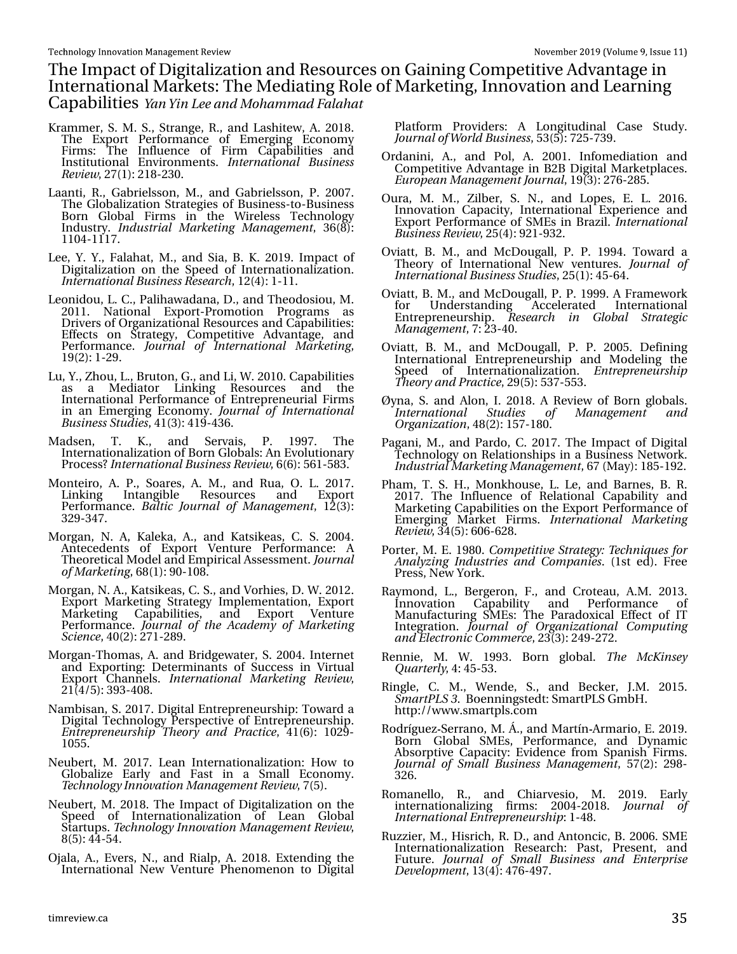With Lp sdf wr i Glj lwdd} dwlr q dqg Uhvr xuf hv r q J dlqlqj Fr p shwhwlyh Dgydqwdjh lq Lgwhugdwlr gdoP dunhww With P hgldwlgi Ur oh r i P dunhwlgi / Lggr ydwlr g dgg Chduglgi Fdsdelolwih Zbo Zjo Mf boe N pi bn n be Gbrbi bu

- Nudp p hu/ V1 P 1 V1/ Vwudqj h/ U1/ dqg Odvkl what / D1 534; 1 Wkh H{ sr uw Shuir up dqf h r i Hp huj lqj Hf r qr p | Ilupν=`Wkh Lqioxhqfh ri Ilup Fḋsdelolwlhv dqg Lqwww.wir qdo Hqylur qp hqwr1 Jouf sobujpobm Cvtjoftt Sf wjf x / 5: +4,=54; 05631
- Oddqw/ U1/ J deulhovr q/ P 1/ dqg J deulhovr q/ S1 533: 1 Wkh J or edol}dwlr q Vwudwhj lhv ri Exvlqhvv0wr 0Exvlqhvv Er uq J or edo I lup v lq wkh Z luhohvv Whf kqr or j | Lqgxvwu| 1 JoevtusjbmN bsl fujoh N bobhfn fou/ 69+; ,= 44370444: 1
- Ohh/ \ 1\ 1/ I dodkdw/ P 1/ dqg Vld/ E1N1534<1Lp sdf wr i Glj lwdol}dwlr q r q wkh Vshhg r i Lqwhuqdwlr qdol}dwlr q 1 Jouf sobujpobmCvtjoftt Sftfbsdi / 45+7,=40441
- Ohr qlgr x/ OIF1/ Sddkdz dgdqd/ G1/ dqg Wkhr gr vlr x/ P 1 53441 Qdwlr qdo H{ sr uw0Sur p r wlr q Sur j udp v dv Gulyhuv r i Ruj dql}dwir qdoUhvrxuf hv dqg Fdsdelolwlhv= Hiihf wv r q Vwudwhj | / Fr p shwlwlyh Dgydqwdj h/ dqg Shuir up dqf h1 Kpv sobm pg Jouf sobujpobm N bsl fujoh/ 4<+5,=405<1
- $Ox/\sqrt{1}$  kr x/ $O\sqrt{1}$  Euxwr q/ J  $\sqrt{1}$  dqg  $O/Z$  153431 Fdsdelolwhv dv d Phgldwru Olqnlqj Uhvrxufhv dqg wkh Lqwhuqdwlr qdoShuir up dqf h r i HqwuhsuhqhxuldoI lup v lq dq Hp huj lqj Hf r qr p | 1 Kpvsobmpg Jouf sobujpobm Cvtjoftt Tuvejft/ 74+6,=74<07691
- P dgvhq/ W1 N1/ dqg Vhuydlv/ S1 4<<: 1 Wkh Lqwhuqdwlr qdol}dwlr q r i Er uq J or edov=Dq Hyr oxwlr qdu| Sur f hvvBJouf sobujpobmCv tjoftt Sf wjf x / 9+9,=89408; 61
- P r qwhlur / D1 S1/ Vr duhv/ D1 P 1/ dqg Uxd/ R1 O1 534: 1 Olqnlqj Lqwdqj leoh Uhvr xuf hv dqg H{ sr uw Shuir up dqf h1 Cbmujd Kovsobmpg N bobhfn fou  $45+6,=$ 65<067: 1
- P r y dq/ Q1 D/ Ndd nd/ D1/ dqg Ndwlnhdv/ F1 V1 53371 Dqwhf hghqwv r i H{ sr uw Yhqwxuh Shuir up dqf h= D Wkhr uhwlf doP r ghodqg Hp slulf doDvvhvvp hqw1Kpvsobm pgN bsl fujoh/ 9; +4,=<3043; 1
- P r uj dq/ Q1D1/ Ndwlnhdv/ F1V1/ dqg Yr uklhv/ G1Z 153451 H{ sr uw P dunhwlqj Vwudwhj | Lp sohp hqwdwlr q/ H{ sr uw P dunhwlqj Fdsdelolwlhv/ dqg H{ sr uw Yhqwxuh Shuir up dqf h1 Kpvsobmpg ui f Bdbefn z pg N bsl fujoh Tdjfodf/ 73+5,=5: 405; <1
- P r uj dq0Wkr p dv/D1 dqg Eulgj hz dwhu/V153371 Lqwhuqhw dqg H{ sr uwlqj = Ghwhup lqdqwv r i Vxf f hvv lq Yluwxdo H{s̃ruẁFkdqq̃hov1 Joufsobujpobm N bsl fujoh Sfwjfx/ 54+728,=6<6073; 1
- Qdp elvdq/ V1534: 1Glj lwdoHqwuhsuhqhxuvkls=Wr z dug d Glj lwdoWhfkqrorj | Shuvshfwlyh ri Hqwuhsuhqhxuvkls1 Foust qsf of vsti jq U if psz boe Qsbdujdf /  $74+9$ , =  $435<0$ 43881
- Qhxehuw/ P 1 534: 1 Ohdq Lqwhuqdwlr qdd dwlr q = Kr z wr J or edol}h Hduo| dqg I dvw lq d Vp doo Hf r qr p | 1 Ufdi opmphz Joopwbujpo N bobhfn fouSf wjf x / : +8,1
- Qhxehuw/ P 1534; 1Wkh Lp sdfwri Gljlwdd}dwr q r q wkh Vshhg ri Lqwhuqdwlrqdol}dwlrq ri Ohdq Joredo Vwduwxsv1Ufdi opmphz Joopwbujpo N bobhfn fouSf wjf x / ; +8,=770871
- Rmdod/ D1/ Hyhuv/ Q1/ dqg Uldos/ D1534; 1H{ whqglqj wkh Lqwhuqdwlr qdo Qhz Yhqwxuh Skhqr p hqr q wr Glj lwdo

Sodwir up Sur ylghuv= D Or qj lwxglqdo Fdvh Vwxg| 1 KpvsobmpgX psme Cvtjoftt/ 86+8,=: 580: 6<1

- Rugdqlql/ D1/ dqg Srd D1 53341 Lqirp hgldwrq dqg Fr p shwlwlyh Dgydqwdj h lq E5E Glj lwdoP dunhwsodf hv1 Fvspqfbo N bobhfn fouKpvsobm/ 4<+6,=5: 905; 81
- Rxud/ P 1 P 1 | loehu/ V1 Q1/ dqg Or shv/ H1 O1 53491 Lqqr ydwlr q Fdsdflw| Lqwhuqdwlr qdo H{shulhqfh dqg H{ sr uwShuir up dqf h r i VP Hv lq Eud}lo1Jouf sobujpobm Cvtjoftt Sf wjf x / 58+7,=<540<651
- Ryldw/ E1 P 1/ dqg P f Gr xj doo/ S1 S1 4<<71 W z dug d Wkhr u| r i Lqwhuqdwlr qdo Qhz yhqwxuhv1 Kpv sobmpg Jouf sobujpobmCvtjoftt Tuvejft/ 58+4,=780971
- Ryldw//E1P1/dqg PfGrxjdoo//S1S14<<<1Dludphzrun<br>iru Xqghuwodqglqj Dffhohudwhg Lqwhuqdwrqdo ir u Xqghuvwdqglqj Df f hohudwhg Lqwhuqdwlr qdo Hqwuhsuhqhxuvkls1 Sftfbsdi jo Hmpcbm Tusbufhjd N bobhfn fou/ : =560731
- Ryldw/ E1 P 1 dqg P f Gr xj doo' S1 S1 53381 Ghilqlqj Lqwhuqdwlr qdo Hqwuhsuhqhxuvkls dqg P r gholqj wkh Vshhg r i Lqwhuqdwlr qdol}dwlr q1 Fousfqsfof vsti jq Ui fpszboe Qsbdujdf/ 5<+8,=86: 08861
- Û| qd/ V1dqg Dor q/ L1534; 1 D Uhylhz r i Er uq j or edov1 Jouf sobujpobm Tuvejft pg N bobhfn fou boe Pshboj{bujpo/ 7; +5,=48: 04; 31
- Sdj dql/ P 1/ dqg Sdugr/ F1534: 1Wkh Lp sdf wr i Glj Ivdo Whf kqr or j | r q Uhodwlr qvklsv lq d Exvlqhvv Qhwz r un1 JoevtusjbmN bsl fujoh N bobhfn fou/ 9: +P d| ,=4; 804<51
- Skdp / WI V1 K1/ P r qnkr xvh/ O1 Oh/ dqg Eduqhv/ E1 U1 534: 1 With Lqioxhqfh ri Uhodwlrqdo Fdsdelolw| dqg P dunhwlqj Fdsdelolwhv r q wkh H{ sr uwShuir up dqf h r i Hp huj lqj P dunhw I lup v1 Jouf sobujpobm N bsl fujoh Sf wjf x / 67+8,=939095; 1
- Sr uwhu/ P 1H14<; 31Dpn qfujujwf Tusbufhz; Ufdi ojr vft gps Bobmz{joh Joevtusjft boe Dpn qbojft1 +4vwhg,1I uhh Suhvv/ Qhz \ r un1
- Ud| p r qg/ O // Ehuj hur q/ 1 1/ dqg Fur whdx/ D P 1 53461 Lqqr ydwlr q Fdsdelolw| dqg Shuir up dqf h r i Lqqrydwlrq Folsdelolw∤ dqqr Shuirupdqfh ri<br>Pdqxidfwxulqj VPHv≡Wkh Sdudgr{lfdo:Hiihfwri…LW Lqwhj udwlr q1 Kpvsobm pg Pshboj{bujpobm Dpn qvujoh boe FmfduspojdDpn n f sdf/ 56+6,=57<05: 51
- Uhqqlh/ P1 Z1 4<<61 Eruq joredd Uif NdLjotfz  $Rv$ bsuf sma $/ 7 = 780861$
- Ulqj  $dv / F1$  P  $\gamma$  Z hqgh/ V $\gamma$  dqg Ehf nhu/ MP 1 53481 Tn bsuQMT41Er hqqlqj vwhgw=Vp duwSOVJ p eK1 kws= $22z$  z z 1vp duwsov1f r p
- Ur guðj xh} Vhuudqr / P 1Ä1/ dqg P duwðq Dup dulr / H1534<1 Er uq J or edo VP Hv/ Shuir up dqf h/ dqg G| qdp lf Devr uswlyh Fdsdf lw| = Hylghqf h iur p Vsdqlvk I lup v1 Kpv sobmpg Tn bm Cvtjoftt N bobhfn fou  $8: +5, =5$  <; 0 6591
- Urp dqhoor/ U1/ dqg Fklduyhvlr/ P1 534<1 Hduo| lqwhuqdwlr qdol}lqj ilup v= 53370534; 1 Kpvsobm pg Jouf sobujpobmFousfqsfof vsti jq=407; 1
- Ux}}Ihu/ P 1/ Klvulf k/ U1G1/ dqg Dqwr qf lf / E153391 VP H Lqwhuqdwlr qdol}dwlr q Uhvhduf k= Sdvw/ Suhvhqw/ dqg I xwxuh1 Kpvsobm pg Tn bm Cvtjoftt boe Fouf sqsjtf Ef wf mpqn fou  $46 + 7$ ,  $= 7:907 < 1$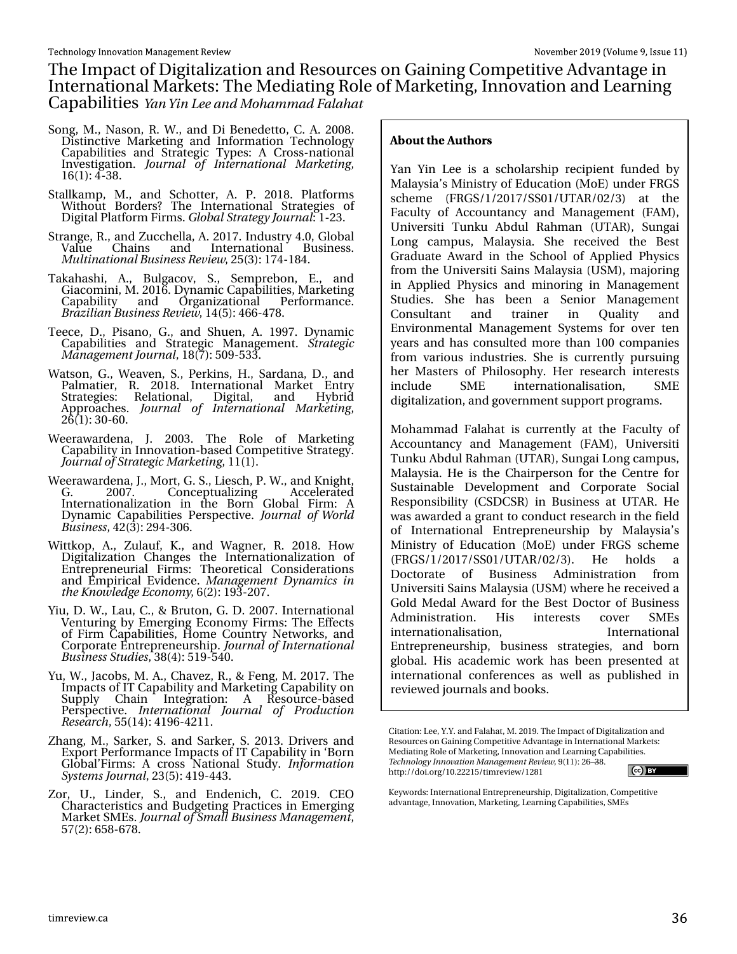Wikh Lp sdfwr i Glj lwdol}dwlr q dqg Uhvrxuf hv r q J dlqlqj Fr p shwlwlyh Dgydqwdjh lq Lgwhugdwlr gdoP dunhw=Wkh P hgldwlgi Ur oh r i P dunhwlgi/Lggrydwlr g dgg Ohduglgi Fds del dwth Zbo Zjo Mf boe N pi bn n be Gbrbi bu

Vr qj / P 1/ Qdvr q/ U1Z 1/ dqg GI Ehqhghwr / F1D1533; 1 Glvwlqf wlyh P dunhwlqj dqg Lqir up dwlr q Whf kqr or j | Fdsdelolwlhv dqg Vwudwhj lf W| shv= D Fur vv0qdwlr qdo Lqyhvwlj dwir q1 Kpv sobm pg Jouf sobujpobm N bsl fujoh/ 49+4,=706; 1

Vvdoondp s/ P 1/ dqg Vf kr whu/ D1 S1 534; 1 Sodwir up v Z lwkr xw Er ughuvB Wkh Lqwhuqdwlr qdo Vwudwhj lhv r i Glj IwdoSodwir up I lup v1 Hmpcbm Tusbufhz Kpvsobm=40561

Vwudqj h/ U1/ dqg ] xff khood/ D1534: 1 Lqgxvwu| 713/ J or edo Ydoxh Fkdlqv dqg Lqwhuqdwrqdo Exvlqhw1  $N$  v miobujpobm $Q$ vtjoftt Sf wif x / 58+6,=4: 704; 71

Wdndkdvkl/ D1/ Exoj df r y/ V1/ Vhp suher q/ H1/ dqg J ldf r p lql/ P 153491G| qdp lf Fdsdelolwlhv/ P dunhwlqj Fdsdelolw| dqg Ruj dql}dwlr qdo Shuir up dqf h1 Csb{jmjbo Cvtjoftt Sf wjf x / 47+8,=79907: ; 1

Whhf h/ G1/ Slvdqr / J 1/ dqg Vkxhq/ D1 4<<: 1 G| qdp lf Fdsdelolwlhv dqg Vwudwhj lf P dqdj hp hqw1 Tusbufhjd N bobhfn foul pvsobm/4;  $\pm$ ,  $=$ 83<08661

Z dwr q/ J 1/ Z hdyhq/ V1/ Shunlqv/ K1/ Vdugdqd/ G1/ dqg .<br>Sdop dwihu/ U1 534;1 Lqwhuqdwlr qdo P dunhw Hqwu[<br>Vwdwhjlhv= Uhodwlr qdo/ Gljlwdo/ dqq K |eulg Vwudwhj lhv= Uhodwlr qdo/ Glj lwdo/ dqg Dssurdfkhv1 Kpvsobm pg Jouf sobujpobm N bsl fujoh 59+4,=630931

- Z hhudz dughqd/ M1 53361 Wkh Ur dn ri P dunhwlqj Fdsdelow, iq Lqqr ydwir q0edvhg Fr p shwlwlyh Vwudwhj 1 KpvsobmpgTusbufhjdN bsl fujoh/ 44+4,1
- Z hhudz dughqd/ M1/ P r uw/ J 1 V1/ Olhvf k/ S1Z 1/ dqg Nqlj kw/<br>J 1 533: 1 Frqf hswxdd}lqi Dff hohudwhq J 1 533: 1 Fr qf hswxdol}lqj Df f hohudwhg Lqwhuqdwlr qdol}dwlr q lq wkh Er uq J or edo I lup = D G| qdp If Fdsdelolwlhv Shuvshf wlyh1 Kpv sobmpg X psme Cvtjoftt/ 75+6,=5<706391

Z lwnr s/ D1/ ] xodxi/ N1/ dqg Z dj qhu/ U1 534; 1 Kr z Glj lwdol}dwlr q Fkdqj hv wkh Lqwhuqdwlr qdol}dwlr q r i Hqwuhsuhqhxuldo I lup v= Wkhruhwlf do Frqvlghudwir qv dqg Hp slulf do Hylghqf h1 N bobhfn fou Ezobn jdt jo ui f Lopx mfehf Fdpopn z/ 9+5,=4<6053: 1

\ lx/ G1Z 1/ Odx/ F1/ ) Euxwr q/ J 1G1533: 1Lqwhuqdwlr qdo Yhqwxulqj e| Hp huj lqj Hf r qr p | I lup v=Wkh Hiihf wv r i I lup Fdsdelolwlhv/ Kr p h Fr xqwu| Qhwz r unv/ dqg Fr usr udwh Hqwuhsuhqhxuvkls1KpvsobmpgJouf sobujpobm Cvtjoftt Tuvejft/ 6; +7,=84<08731

\x/Z 1/ Mdf r ev/ P 1D1/ Fkdyh}/ U1/ ) I hqj / P 1534: 1Wkh Lp sdf wv r i LWFdsdelolw| dqg P dunhwlqj Fdsdelolw| r q Vxsso| Fkdlq Lqwhj udwlr q= D Uhvr xuf h0edvhg Shuvshf wlyh1 Jouf sobujpobm Kpv sobm pg Qspevdujpo Sftfbsdi / 88+47,=74<9075441

] kdqj / P 1/ Vdunhu/ V1 dqg Vdunhu/ V1 53461 Gulyhuv dqg H{sruwShuirupdqfh LpsdfwrriLWFdsdelolw| lq "Eruq J or edo•I lup v= D f ur vv Qdwlr qdo Vwxg| 1 Jogpsn bujpo Tztufn t Kpvsobm/ 56+8,=74<07761

] r u/ X1/ Olqghu/ V1/ dqg Hqghqlf k/ F1 534<1 FHR Fkdudf whulvwlf v dqg Exgj hwlqj Sudf wlf hv lq Hp huj lqj P dunhwVP Hv1KpvsobmpgTn bmnCvtjoftt N bobhfn fou 8: +5,=98; 09: ; 1

#### &2766, ) 76, 245

\ dq \ lq Ohh lv d vf kr oduvkls uhf lslhqw ixqghg e| P dod| vld•v P lqlvwu| r i Hgxfdwlr q +P r H, xqghu I UJ V vf khp h +I UJ V242534: 2VV342X WDU23526, dw wkh I df xow| ri Dffr x qwdqf| dqg P dqdj hp hqw +I DP, / Xqlyhuvlwl Wxqnx Degxo Udkp dq +XWDU,/ Vxqj dl Or qj f dp sxv/ P dod| vld1 Vkh uhf hlyhg wkh Ehvw J udgxdwh Dz dug lq wkh Vf kr r o r i Dssolhg Sk| vlf v iur p wkh Xqlyhuvlwl Vdlqv P dod| vld +XVP, / p dmulqj lq Dssolhg Sk| vlf v dqg p lqr ulqj lq P dqdj hp hqw Vwxglhv1 Vkh kdv ehhq d Vhqlru P dqdj hp hqw Fr qvxowdqw dqg wudlqhu lq Txdolw| dqg Hqylur qp hqwdo P dqdj hp hqw V| vwhp v ir u r yhu whq | hduv dqg kdv f r qvxowhg p r uh wkdq 433 f r p sdqlhv iurp ydulrxv lqgxvwulhv1 Vkh lv fxuuhqwo| sxuvxlqj khu P dwhuv ri Sklor vrsk| 1 Khu uhvhdufk lqwhuhww  $\lg f \alpha g h$  VP H  $\lg w h \alpha d w r g d v d w r g /$  VP H glj lwdol}dwlr q/ dqg j r yhuqp hqww.ssr uwsur j udp v1

P r kdp p dg I dodkdwlv f xuuhqwo| dwwkh I df xow| ri  $D$ f f r x q wdq f  $|$  dqg  $P$  dqdj hp hqw  $+$  DP  $/$  X q lyhuvluv Witter Muslem and Ward U. Weight Crist of the same Witter of the same Witter of the same Witter of the same Witter of the same Witter of the same of the same of the same  $\mathbb{R}$  and  $\mathbb{R}$  and  $\mathbb{R}$  and  $\mathbb{R}$  and P dod| vld1Kh lv wkh Fkdlushuvr q ir u wkh Fhqwuh ir u Vxvwdlqdeoh Ghyhor sp hqw dqg Fr usr udwh Vr f ldo Uhvsr qvlelow +FVGFVU, lq Exvlqhvv dwXWDU1 Kh z dv dz dughg d j udqwwr f r qgxf wuhvhduf k lq wkh ilhog r i Lqwhuqdwlr qdo Hqwuhsuhqhxuvkls e| P dod| vld•v P lqlvwu| ri Hgxf dwlr q +P r H, xqghu I UJ V vf khp h +I UJ V242534: 2VV342XWDU23526,1 Kh kr ogv d Grfwrudwh ri Exvlqhvv Dgplqlvwudwlrq iurp Xqlyhuvlwl Vdlqv P dod| vld +XVP, z khuh kh uhf hlyhg d Jrog PhgdoDzdug ir u wkh Ehvw Grfwru ri Exvlqhvv Dgp lqlwudwir q1 Klv lqwhuhww fryhu VP Hv lqwhuqdwlr qdolvdwlr q/ Lqwhuqdwlr qdo Hqwuhsuhqhxuvkls/ exvlqhw wudwhjlhv/ dqg eruq j or edo1 Klv df dghp lf z r un kdv ehhq suhvhqwhg dw lqwhuqdwlr qdo fr qihuhqf hv dv z hoo dv sxedvkhg lq uhylhz hg mr xuqdovdqg er r nv1

Nh| z r ugv=Lqwhuqdwlr qdoHqwuhsuhqhxuvkls/ Glj lwdd} dwlr q/ Fr p shwlwlyh dgydqwdj h/ Lqqr ydwr q/ P dunhwlqj / Chduqlqj Fdsdelowhv/ VP Hv

Flwdwlr q=Chh/ \ 1\ 1dqg I dodkdwl P 1534<1Wkh Lp sdf wr i Glj lwdol} dwlr q dqg Uhvr xuf hv r q J dlqlqj Fr p shwlwlyh Dgydqwdj h lq Lqwhuqdwlr qdoP dunhw= P haldwlqj Ur oh r i P dunhwlqj / Lqqr ydwr q dqg Ohduqlqj Fdsdelolwhv1 Uf di opmphz Joopwbujpo N bobhf n f ouSf wjf x / <+44,=59™6; 1 kws=22gr l1r uj 2431555482wlp uhylhz 245; 4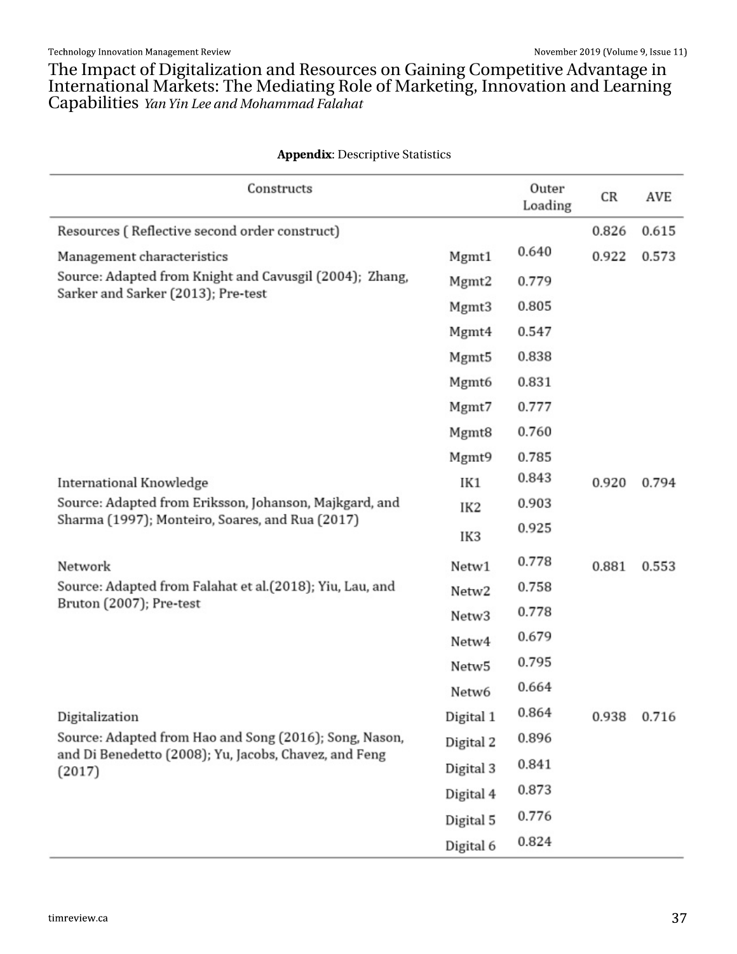Wikh LpsdfwriGljlwdd}dwlrqdqgUhvrxufhvrqJdlqlqjFrpshwhyhDgydqwdjhlq<br>LqwhuqdwlrqdoPdunhw=WikhPhgldwlqjUrdhriPdunhwlqj/LqqrydwlrqdqgChduqlqj<br>FdsdeldwlhvzbozjoMifboeNpibnnbeGombibu

33) 1 ( -: = Ghvf uls wyh Wawwwf v